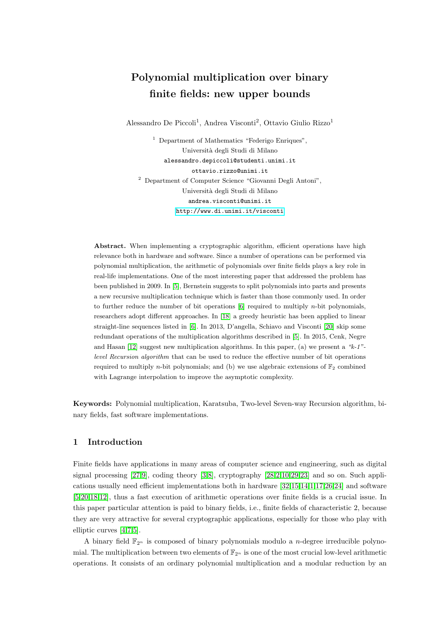# Polynomial multiplication over binary finite fields: new upper bounds

Alessandro De Piccoli<sup>1</sup>, Andrea Visconti<sup>2</sup>, Ottavio Giulio Rizzo<sup>1</sup>

<sup>1</sup> Department of Mathematics "Federigo Enriques", Universit`a degli Studi di Milano alessandro.depiccoli@studenti.unimi.it ottavio.rizzo@unimi.it <sup>2</sup> Department of Computer Science "Giovanni Degli Antoni", Universit`a degli Studi di Milano andrea.visconti@unimi.it <http://www.di.unimi.it/visconti>

Abstract. When implementing a cryptographic algorithm, efficient operations have high relevance both in hardware and software. Since a number of operations can be performed via polynomial multiplication, the arithmetic of polynomials over finite fields plays a key role in real-life implementations. One of the most interesting paper that addressed the problem has been published in 2009. In [\[5\]](#page-17-0), Bernstein suggests to split polynomials into parts and presents a new recursive multiplication technique which is faster than those commonly used. In order to further reduce the number of bit operations  $[6]$  required to multiply *n*-bit polynomials, researchers adopt different approaches. In [\[18\]](#page-17-2) a greedy heuristic has been applied to linear straight-line sequences listed in [\[6\]](#page-17-1). In 2013, D'angella, Schiavo and Visconti [\[20\]](#page-18-0) skip some redundant operations of the multiplication algorithms described in [\[5\]](#page-17-0). In 2015, Cenk, Negre and Hasan [\[12\]](#page-17-3) suggest new multiplication algorithms. In this paper, (a) we present a " $k-1$ "level Recursion algorithm that can be used to reduce the effective number of bit operations required to multiply *n*-bit polynomials; and (b) we use algebraic extensions of  $\mathbb{F}_2$  combined with Lagrange interpolation to improve the asymptotic complexity.

Keywords: Polynomial multiplication, Karatsuba, Two-level Seven-way Recursion algorithm, binary fields, fast software implementations.

# 1 Introduction

Finite fields have applications in many areas of computer science and engineering, such as digital signal processing [\[27,](#page-18-1)[9\]](#page-17-4), coding theory [\[3,](#page-17-5)[8\]](#page-17-6), cryptography [\[28,](#page-18-2)[2,](#page-17-7)[10,](#page-17-8)[29,](#page-18-3)[23\]](#page-18-4) and so on. Such applications usually need efficient implementations both in hardware [\[32,](#page-18-5)[15,](#page-17-9)[14,](#page-17-10)[1,](#page-17-11)[17,](#page-17-12)[26,](#page-18-6)[24\]](#page-18-7) and software [\[5,](#page-17-0)[20](#page-18-0)[,18](#page-17-2)[,12\]](#page-17-3), thus a fast execution of arithmetic operations over finite fields is a crucial issue. In this paper particular attention is paid to binary fields, i.e., finite fields of characteristic 2, because they are very attractive for several cryptographic applications, especially for those who play with elliptic curves [\[4,](#page-17-13)[7,](#page-17-14)[5\]](#page-17-0).

A binary field  $\mathbb{F}_{2^n}$  is composed of binary polynomials modulo a *n*-degree irreducible polynomial. The multiplication between two elements of  $\mathbb{F}_{2^n}$  is one of the most crucial low-level arithmetic operations. It consists of an ordinary polynomial multiplication and a modular reduction by an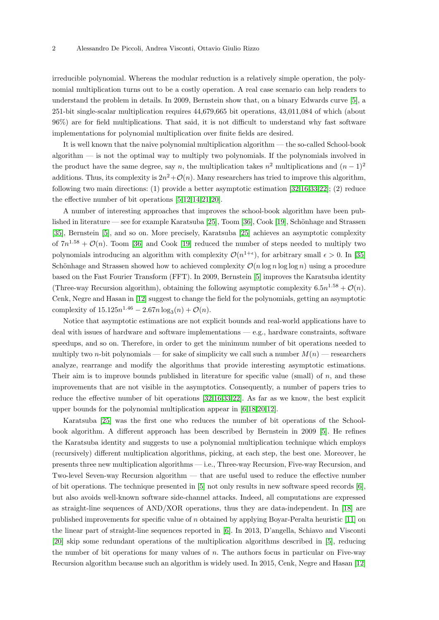irreducible polynomial. Whereas the modular reduction is a relatively simple operation, the polynomial multiplication turns out to be a costly operation. A real case scenario can help readers to understand the problem in details. In 2009, Bernstein show that, on a binary Edwards curve [\[5\]](#page-17-0), a 251-bit single-scalar multiplication requires 44,679,665 bit operations, 43,011,084 of which (about 96%) are for field multiplications. That said, it is not difficult to understand why fast software implementations for polynomial multiplication over finite fields are desired.

It is well known that the naive polynomial multiplication algorithm — the so-called School-book algorithm — is not the optimal way to multiply two polynomials. If the polynomials involved in the product have the same degree, say n, the multiplication takes  $n^2$  multiplications and  $(n-1)^2$ additions. Thus, its complexity is  $2n^2 + \mathcal{O}(n)$ . Many researchers has tried to improve this algorithm, following two main directions: (1) provide a better asymptotic estimation [\[32,](#page-18-5)[16,](#page-17-15)[33,](#page-18-8)[22\]](#page-18-9); (2) reduce the effective number of bit operations [\[5,](#page-17-0)[12,](#page-17-3)[14](#page-17-10)[,21,](#page-18-10)[20\]](#page-18-0).

A number of interesting approaches that improves the school-book algorithm have been pub-lished in literature — see for example Karatsuba [\[25\]](#page-18-11), Toom [\[36\]](#page-18-12), Cook [\[19\]](#page-18-13), Schönhage and Strassen [\[35\]](#page-18-14), Bernstein [\[5\]](#page-17-0), and so on. More precisely, Karatsuba [\[25\]](#page-18-11) achieves an asymptotic complexity of  $7n^{1.58} + \mathcal{O}(n)$ . Toom [\[36\]](#page-18-12) and Cook [\[19\]](#page-18-13) reduced the number of steps needed to multiply two polynomials introducing an algorithm with complexity  $\mathcal{O}(n^{1+\epsilon})$ , for arbitrary small  $\epsilon > 0$ . In [\[35\]](#page-18-14) Schönhage and Strassen showed how to achieved complexity  $\mathcal{O}(n \log n \log \log n)$  using a procedure based on the Fast Fourier Transform (FFT). In 2009, Bernstein [\[5\]](#page-17-0) improves the Karatsuba identity (Three-way Recursion algorithm), obtaining the following asymptotic complexity  $6.5n^{1.58} + \mathcal{O}(n)$ . Cenk, Negre and Hasan in [\[12\]](#page-17-3) suggest to change the field for the polynomials, getting an asymptotic complexity of  $15.125n^{1.46} - 2.67n \log_3(n) + \mathcal{O}(n)$ .

Notice that asymptotic estimations are not explicit bounds and real-world applications have to deal with issues of hardware and software implementations — e.g., hardware constraints, software speedups, and so on. Therefore, in order to get the minimum number of bit operations needed to multiply two *n*-bit polynomials — for sake of simplicity we call such a number  $M(n)$  — researchers analyze, rearrange and modify the algorithms that provide interesting asymptotic estimations. Their aim is to improve bounds published in literature for specific value (small) of n, and these improvements that are not visible in the asymptotics. Consequently, a number of papers tries to reduce the effective number of bit operations [\[32,](#page-18-5)[16](#page-17-15)[,33,](#page-18-8)[22\]](#page-18-9). As far as we know, the best explicit upper bounds for the polynomial multiplication appear in [\[6,](#page-17-1)[18,](#page-17-2)[20,](#page-18-0)[12\]](#page-17-3).

Karatsuba [\[25\]](#page-18-11) was the first one who reduces the number of bit operations of the Schoolbook algorithm. A different approach has been described by Bernstein in 2009 [\[5\]](#page-17-0). He refines the Karatsuba identity and suggests to use a polynomial multiplication technique which employs (recursively) different multiplication algorithms, picking, at each step, the best one. Moreover, he presents three new multiplication algorithms — i.e., Three-way Recursion, Five-way Recursion, and Two-level Seven-way Recursion algorithm — that are useful used to reduce the effective number of bit operations. The technique presented in [\[5\]](#page-17-0) not only results in new software speed records [\[6\]](#page-17-1), but also avoids well-known software side-channel attacks. Indeed, all computations are expressed as straight-line sequences of AND/XOR operations, thus they are data-independent. In [\[18\]](#page-17-2) are published improvements for specific value of n obtained by applying Boyar-Peralta heuristic [\[11\]](#page-17-16) on the linear part of straight-line sequences reported in [\[6\]](#page-17-1). In 2013, D'angella, Schiavo and Visconti [\[20\]](#page-18-0) skip some redundant operations of the multiplication algorithms described in [\[5\]](#page-17-0), reducing the number of bit operations for many values of  $n$ . The authors focus in particular on Five-way Recursion algorithm because such an algorithm is widely used. In 2015, Cenk, Negre and Hasan [\[12\]](#page-17-3)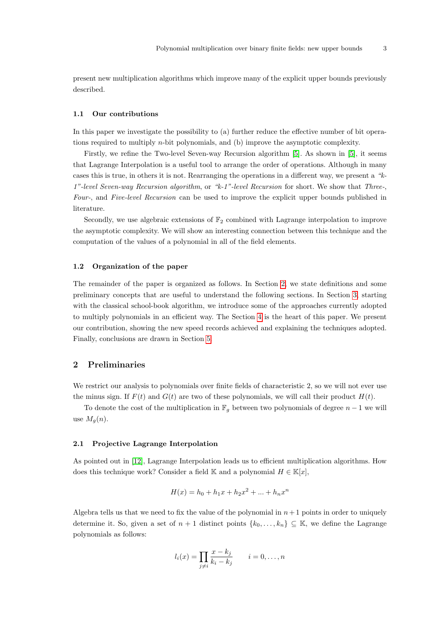present new multiplication algorithms which improve many of the explicit upper bounds previously described.

#### 1.1 Our contributions

In this paper we investigate the possibility to (a) further reduce the effective number of bit operations required to multiply n-bit polynomials, and (b) improve the asymptotic complexity.

Firstly, we refine the Two-level Seven-way Recursion algorithm [\[5\]](#page-17-0). As shown in [\[5\]](#page-17-0), it seems that Lagrange Interpolation is a useful tool to arrange the order of operations. Although in many cases this is true, in others it is not. Rearranging the operations in a different way, we present a "k-1"-level Seven-way Recursion algorithm, or "k-1"-level Recursion for short. We show that Three-, Four-, and Five-level Recursion can be used to improve the explicit upper bounds published in literature.

Secondly, we use algebraic extensions of  $\mathbb{F}_2$  combined with Lagrange interpolation to improve the asymptotic complexity. We will show an interesting connection between this technique and the computation of the values of a polynomial in all of the field elements.

#### 1.2 Organization of the paper

The remainder of the paper is organized as follows. In Section [2,](#page-2-0) we state definitions and some preliminary concepts that are useful to understand the following sections. In Section [3,](#page-3-0) starting with the classical school-book algorithm, we introduce some of the approaches currently adopted to multiply polynomials in an efficient way. The Section [4](#page-7-0) is the heart of this paper. We present our contribution, showing the new speed records achieved and explaining the techniques adopted. Finally, conclusions are drawn in Section [5.](#page-16-0)

# <span id="page-2-0"></span>2 Preliminaries

We restrict our analysis to polynomials over finite fields of characteristic 2, so we will not ever use the minus sign. If  $F(t)$  and  $G(t)$  are two of these polynomials, we will call their product  $H(t)$ .

To denote the cost of the multiplication in  $\mathbb{F}_q$  between two polynomials of degree  $n-1$  we will use  $M_q(n)$ .

#### 2.1 Projective Lagrange Interpolation

As pointed out in [\[12\]](#page-17-3), Lagrange Interpolation leads us to efficient multiplication algorithms. How does this technique work? Consider a field K and a polynomial  $H \in \mathbb{K}[x]$ ,

$$
H(x) = h_0 + h_1 x + h_2 x^2 + \dots + h_n x^n
$$

Algebra tells us that we need to fix the value of the polynomial in  $n+1$  points in order to uniquely determine it. So, given a set of  $n + 1$  distinct points  $\{k_0, \ldots, k_n\} \subseteq \mathbb{K}$ , we define the Lagrange polynomials as follows:

$$
l_i(x) = \prod_{j \neq i} \frac{x - k_j}{k_i - k_j} \qquad i = 0, \dots, n
$$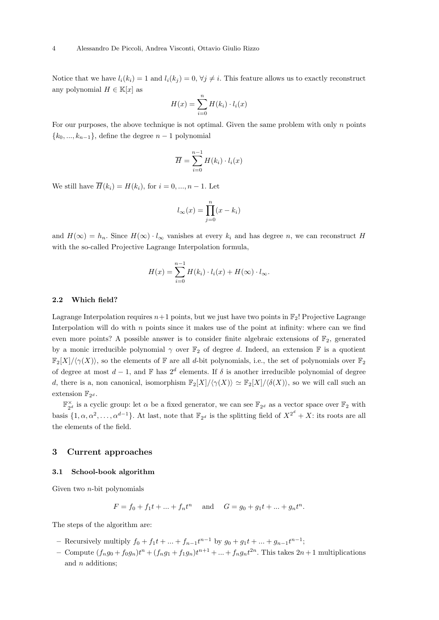Notice that we have  $l_i(k_i) = 1$  and  $l_i(k_i) = 0$ ,  $\forall j \neq i$ . This feature allows us to exactly reconstruct any polynomial  $H \in \mathbb{K}[x]$  as

$$
H(x) = \sum_{i=0}^{n} H(k_i) \cdot l_i(x)
$$

For our purposes, the above technique is not optimal. Given the same problem with only n points  ${k_0, ..., k_{n-1}}$ , define the degree  $n-1$  polynomial

$$
\overline{H} = \sum_{i=0}^{n-1} H(k_i) \cdot l_i(x)
$$

We still have  $\overline{H}(k_i) = H(k_i)$ , for  $i = 0, ..., n-1$ . Let

$$
l_{\infty}(x) = \prod_{j=0}^{n} (x - k_i)
$$

and  $H(\infty) = h_n$ . Since  $H(\infty) \cdot l_\infty$  vanishes at every  $k_i$  and has degree n, we can reconstruct H with the so-called Projective Lagrange Interpolation formula,

$$
H(x) = \sum_{i=0}^{n-1} H(k_i) \cdot l_i(x) + H(\infty) \cdot l_{\infty}.
$$

#### 2.2 Which field?

Lagrange Interpolation requires  $n+1$  points, but we just have two points in  $\mathbb{F}_2$ ! Projective Lagrange Interpolation will do with  $n$  points since it makes use of the point at infinity: where can we find even more points? A possible answer is to consider finite algebraic extensions of  $\mathbb{F}_2$ , generated by a monic irreducible polynomial  $\gamma$  over  $\mathbb{F}_2$  of degree d. Indeed, an extension  $\mathbb F$  is a quotient  $\mathbb{F}_2[X]/\langle \gamma(X)\rangle$ , so the elements of F are all d-bit polynomials, i.e., the set of polynomials over  $\mathbb{F}_2$ of degree at most  $d-1$ , and F has  $2^d$  elements. If  $\delta$  is another irreducible polynomial of degree d, there is a, non canonical, isomorphism  $\mathbb{F}_2[X]/\langle \gamma(X)\rangle \simeq \mathbb{F}_2[X]/\langle \delta(X)\rangle$ , so we will call such an extension  $\mathbb{F}_{2^d}$ .

 $\mathbb{F}_{2^d}^{\times}$  is a cyclic group: let  $\alpha$  be a fixed generator, we can see  $\mathbb{F}_{2^d}$  as a vector space over  $\mathbb{F}_2$  with basis  $\{1, \alpha, \alpha^2, \ldots, \alpha^{d-1}\}\$ . At last, note that  $\mathbb{F}_{2^d}$  is the splitting field of  $X^{2^d} + X$ : its roots are all the elements of the field.

# <span id="page-3-0"></span>3 Current approaches

#### 3.1 School-book algorithm

Given two  $n$ -bit polynomials

$$
F = f_0 + f_1 t + \dots + f_n t^n
$$
 and  $G = g_0 + g_1 t + \dots + g_n t^n$ .

The steps of the algorithm are:

- Recursively multiply  $f_0 + f_1 t + \dots + f_{n-1} t^{n-1}$  by  $g_0 + g_1 t + \dots + g_{n-1} t^{n-1}$ ;
- Compute  $(f_n g_0 + f_0 g_n)t^n + (f_n g_1 + f_1 g_n)t^{n+1} + \ldots + f_n g_n t^{2n}$ . This takes  $2n+1$  multiplications and *n* additions;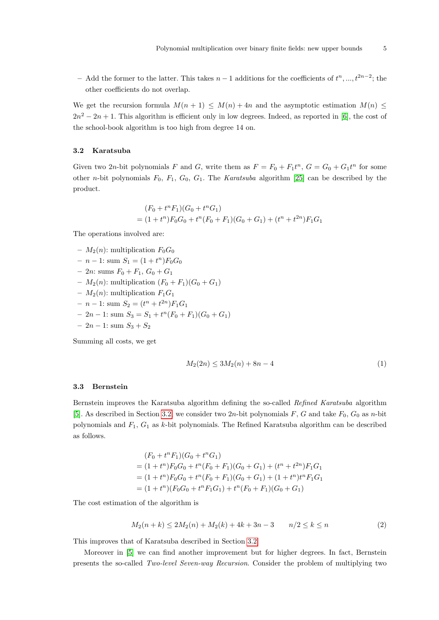– Add the former to the latter. This takes  $n-1$  additions for the coefficients of  $t^n, ..., t^{2n-2}$ ; the other coefficients do not overlap.

We get the recursion formula  $M(n + 1) \leq M(n) + 4n$  and the asymptotic estimation  $M(n) \leq$  $2n^2 - 2n + 1$ . This algorithm is efficient only in low degrees. Indeed, as reported in [\[6\]](#page-17-1), the cost of the school-book algorithm is too high from degree 14 on.

# <span id="page-4-0"></span>3.2 Karatsuba

Given two 2n-bit polynomials F and G, write them as  $F = F_0 + F_1 t^n$ ,  $G = G_0 + G_1 t^n$  for some other n-bit polynomials  $F_0$ ,  $F_1$ ,  $G_0$ ,  $G_1$ . The *Karatsuba* algorithm [\[25\]](#page-18-11) can be described by the product.

$$
(F_0 + t^n F_1)(G_0 + t^n G_1)
$$
  
=  $(1 + t^n)F_0G_0 + t^n(F_0 + F_1)(G_0 + G_1) + (t^n + t^{2n})F_1G_1$ 

The operations involved are:

–  $M_2(n)$ : multiplication  $F_0G_0$  $- n - 1$ : sum  $S_1 = (1 + t^n)F_0G_0$  $-2n$ : sums  $F_0 + F_1, G_0 + G_1$ –  $M_2(n)$ : multiplication  $(F_0 + F_1)(G_0 + G_1)$ –  $M_2(n)$ : multiplication  $F_1G_1$  $- n - 1$ : sum  $S_2 = (t^n + t^{2n})F_1G_1$  $-2n-1$ : sum  $S_3 = S_1 + t^n(F_0 + F_1)(G_0 + G_1)$  $-2n-1$ : sum  $S_3 + S_2$ 

Summing all costs, we get

$$
M_2(2n) \le 3M_2(n) + 8n - 4\tag{1}
$$

#### <span id="page-4-1"></span>3.3 Bernstein

Bernstein improves the Karatsuba algorithm defining the so-called Refined Karatsuba algorithm [\[5\]](#page-17-0). As described in Section [3.2,](#page-4-0) we consider two 2n-bit polynomials F, G and take  $F_0$ ,  $G_0$  as n-bit polynomials and  $F_1$ ,  $G_1$  as k-bit polynomials. The Refined Karatsuba algorithm can be described as follows.

$$
(F_0 + t^n F_1)(G_0 + t^n G_1)
$$
  
=  $(1 + t^n)F_0G_0 + t^n(F_0 + F_1)(G_0 + G_1) + (t^n + t^{2n})F_1G_1$   
=  $(1 + t^n)F_0G_0 + t^n(F_0 + F_1)(G_0 + G_1) + (1 + t^n)t^nF_1G_1$   
=  $(1 + t^n)(F_0G_0 + t^nF_1G_1) + t^n(F_0 + F_1)(G_0 + G_1)$ 

<span id="page-4-2"></span>The cost estimation of the algorithm is

$$
M_2(n+k) \le 2M_2(n) + M_2(k) + 4k + 3n - 3 \qquad n/2 \le k \le n \tag{2}
$$

This improves that of Karatsuba described in Section [3.2.](#page-4-0)

Moreover in [\[5\]](#page-17-0) we can find another improvement but for higher degrees. In fact, Bernstein presents the so-called Two-level Seven-way Recursion. Consider the problem of multiplying two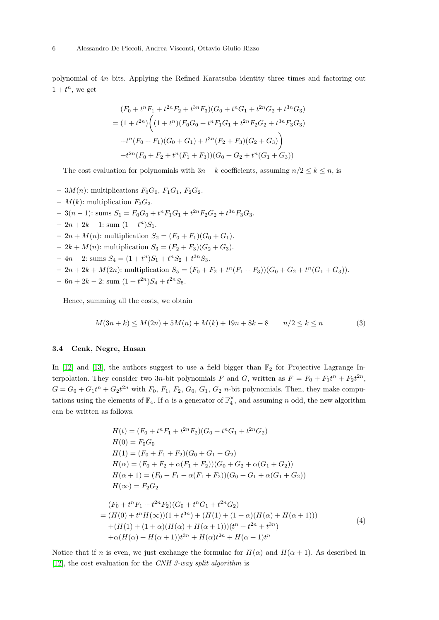polynomial of 4n bits. Applying the Refined Karatsuba identity three times and factoring out  $1 + t^n$ , we get

$$
(F_0 + t^n F_1 + t^{2n} F_2 + t^{3n} F_3)(G_0 + t^n G_1 + t^{2n} G_2 + t^{3n} G_3)
$$
  
=  $(1 + t^{2n}) \Big( (1 + t^n) (F_0 G_0 + t^n F_1 G_1 + t^{2n} F_2 G_2 + t^{3n} F_3 G_3)$   
+  $t^n (F_0 + F_1) (G_0 + G_1) + t^{3n} (F_2 + F_3) (G_2 + G_3) \Big)$   
+  $t^{2n} (F_0 + F_2 + t^n (F_1 + F_3)) (G_0 + G_2 + t^n (G_1 + G_3))$ 

The cost evaluation for polynomials with  $3n + k$  coefficients, assuming  $n/2 \leq k \leq n$ , is

- $3M(n)$ : multiplications  $F_0G_0$ ,  $F_1G_1$ ,  $F_2G_2$ .
- $M(k)$ : multiplication  $F_3G_3$ .
- $-3(n-1)$ : sums  $S_1 = F_0G_0 + t^nF_1G_1 + t^{2n}F_2G_2 + t^{3n}F_3G_3.$
- $-2n+2k-1$ : sum  $(1+t^n)S_1$ .
- $-2n + M(n)$ : multiplication  $S_2 = (F_0 + F_1)(G_0 + G_1)$ .
- $-2k + M(n)$ : multiplication  $S_3 = (F_2 + F_3)(G_2 + G_3)$ .
- $-4n-2$ : sums  $S_4 = (1+t^n)S_1 + t^nS_2 + t^{3n}S_3$ .
- $-2n+2k+M(2n)$ : multiplication  $S_5 = (F_0 + F_2 + t^n(F_1 + F_3))(G_0 + G_2 + t^n(G_1 + G_3)).$
- $-6n+2k-2$ : sum  $(1+t^{2n})S_4+t^{2n}S_5$ .

<span id="page-5-1"></span>Hence, summing all the costs, we obtain

$$
M(3n+k) \le M(2n) + 5M(n) + M(k) + 19n + 8k - 8 \qquad n/2 \le k \le n \tag{3}
$$

#### 3.4 Cenk, Negre, Hasan

In  $[12]$  and  $[13]$ , the authors suggest to use a field bigger than  $\mathbb{F}_2$  for Projective Lagrange Interpolation. They consider two 3n-bit polynomials F and G, written as  $F = F_0 + F_1 t^n + F_2 t^{2n}$ ,  $G = G_0 + G_1 t^n + G_2 t^{2n}$  with  $F_0$ ,  $F_1$ ,  $F_2$ ,  $G_0$ ,  $G_1$ ,  $G_2$  *n*-bit polynomials. Then, they make computations using the elements of  $\mathbb{F}_4$ . If  $\alpha$  is a generator of  $\mathbb{F}_4^{\times}$ , and assuming n odd, the new algorithm can be written as follows.

$$
H(t) = (F_0 + t^n F_1 + t^{2n} F_2)(G_0 + t^n G_1 + t^{2n} G_2)
$$
  
\n
$$
H(0) = F_0 G_0
$$
  
\n
$$
H(1) = (F_0 + F_1 + F_2)(G_0 + G_1 + G_2)
$$
  
\n
$$
H(\alpha) = (F_0 + F_2 + \alpha (F_1 + F_2))(G_0 + G_2 + \alpha (G_1 + G_2))
$$
  
\n
$$
H(\alpha + 1) = (F_0 + F_1 + \alpha (F_1 + F_2))(G_0 + G_1 + \alpha (G_1 + G_2))
$$
  
\n
$$
H(\infty) = F_2 G_2
$$
  
\n
$$
(F_0 + t^n F_1 + t^{2n} F_2)(G_0 + t^n G_1 + t^{2n} G_2)
$$
  
\n
$$
= (H(0) + t^n H(\infty))(1 + t^{3n}) + (H(1) + (1 + \alpha)(H(\alpha) + H(\alpha + 1)))
$$
  
\n
$$
+ (H(1) + (1 + \alpha)(H(\alpha) + H(\alpha + 1)))(t^n + t^{2n} + t^{3n})
$$
  
\n
$$
+ \alpha (H(\alpha) + H(\alpha + 1))t^{3n} + H(\alpha)t^{2n} + H(\alpha + 1)t^n
$$
\n(4)

<span id="page-5-0"></span>Notice that if n is even, we just exchange the formulae for  $H(\alpha)$  and  $H(\alpha + 1)$ . As described in [\[12\]](#page-17-3), the cost evaluation for the CNH 3-way split algorithm is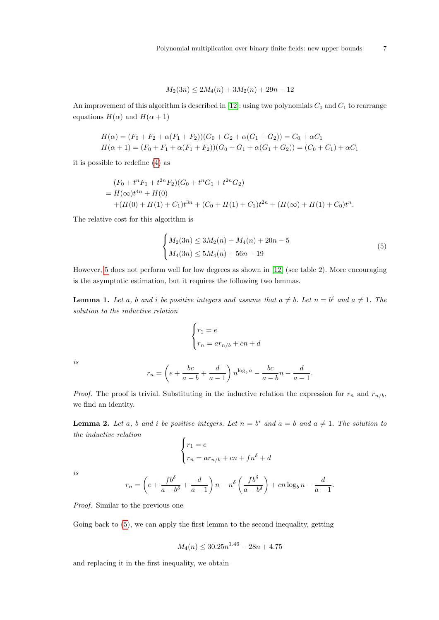$$
M_2(3n) \le 2M_4(n) + 3M_2(n) + 29n - 12
$$

An improvement of this algorithm is described in [\[12\]](#page-17-3): using two polynomials  $C_0$  and  $C_1$  to rearrange equations  $H(\alpha)$  and  $H(\alpha + 1)$ 

$$
H(\alpha) = (F_0 + F_2 + \alpha (F_1 + F_2))(G_0 + G_2 + \alpha (G_1 + G_2)) = C_0 + \alpha C_1
$$
  

$$
H(\alpha + 1) = (F_0 + F_1 + \alpha (F_1 + F_2))(G_0 + G_1 + \alpha (G_1 + G_2)) = (C_0 + C_1) + \alpha C_1
$$

it is possible to redefine [\(4\)](#page-5-0) as

$$
(F_0 + t^n F_1 + t^{2n} F_2)(G_0 + t^n G_1 + t^{2n} G_2)
$$
  
=  $H(\infty)t^{4n} + H(0)$   
+ $(H(0) + H(1) + C_1)t^{3n} + (C_0 + H(1) + C_1)t^{2n} + (H(\infty) + H(1) + C_0)t^n$ .

<span id="page-6-0"></span>The relative cost for this algorithm is

$$
\begin{cases} M_2(3n) \le 3M_2(n) + M_4(n) + 20n - 5 \\ M_4(3n) \le 5M_4(n) + 56n - 19 \end{cases}
$$
 (5)

However, [5](#page-6-0) does not perform well for low degrees as shown in [\[12\]](#page-17-3) (see table 2). More encouraging is the asymptotic estimation, but it requires the following two lemmas.

<span id="page-6-1"></span>**Lemma 1.** Let a, b and i be positive integers and assume that  $a \neq b$ . Let  $n = b^i$  and  $a \neq 1$ . The solution to the inductive relation

$$
\begin{cases} r_1 = e \\ r_n = ar_{n/b} + cn + d \end{cases}
$$

is

$$
r_n = \left(e + \frac{bc}{a-b} + \frac{d}{a-1}\right) n^{\log_b a} - \frac{bc}{a-b}n - \frac{d}{a-1}.
$$

*Proof.* The proof is trivial. Substituting in the inductive relation the expression for  $r_n$  and  $r_{n/b}$ , we find an identity.

<span id="page-6-2"></span>**Lemma 2.** Let a, b and i be positive integers. Let  $n = b^i$  and  $a = b$  and  $a \neq 1$ . The solution to the inductive relation

$$
\begin{cases}\nr_1 = e \\
r_n = ar_{n/b} + cn + fn^{\delta} + d\n\end{cases}
$$

is

$$
r_n = \left(e + \frac{fb^{\delta}}{a - b^{\delta}} + \frac{d}{a - 1}\right)n - n^{\delta}\left(\frac{fb^{\delta}}{a - b^{\delta}}\right) + cn\log_b n - \frac{d}{a - 1}.
$$

Proof. Similar to the previous one

Going back to  $(5)$ , we can apply the first lemma to the second inequality, getting

$$
M_4(n) \le 30.25n^{1.46} - 28n + 4.75
$$

and replacing it in the first inequality, we obtain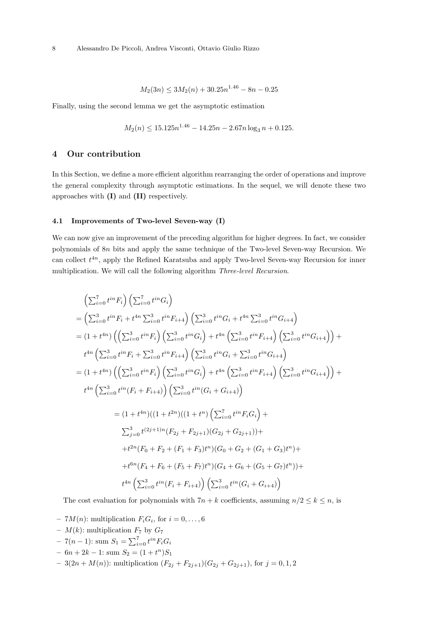$$
M_2(3n) \le 3M_2(n) + 30.25n^{1.46} - 8n - 0.25
$$

Finally, using the second lemma we get the asymptotic estimation

$$
M_2(n) \le 15.125n^{1.46} - 14.25n - 2.67n \log_3 n + 0.125.
$$

# <span id="page-7-0"></span>4 Our contribution

In this Section, we define a more efficient algorithm rearranging the order of operations and improve the general complexity through asymptotic estimations. In the sequel, we will denote these two approaches with (I) and (II) respectively.

#### 4.1 Improvements of Two-level Seven-way (I)

We can now give an improvement of the preceding algorithm for higher degrees. In fact, we consider polynomials of 8n bits and apply the same technique of the Two-level Seven-way Recursion. We can collect  $t^{4n}$ , apply the Refined Karatsuba and apply Two-level Seven-way Recursion for inner multiplication. We will call the following algorithm Three-level Recursion.

$$
\left(\sum_{i=0}^{7} t^{in} F_i\right) \left(\sum_{i=0}^{7} t^{in} G_i\right)
$$
  
=  $\left(\sum_{i=0}^{3} t^{in} F_i + t^{4n} \sum_{i=0}^{3} t^{in} F_{i+4}\right) \left(\sum_{i=0}^{3} t^{in} G_i + t^{4n} \sum_{i=0}^{3} t^{in} G_{i+4}\right)$   
=  $(1 + t^{4n}) \left(\left(\sum_{i=0}^{3} t^{in} F_i\right) \left(\sum_{i=0}^{3} t^{in} G_i\right) + t^{4n} \left(\sum_{i=0}^{3} t^{in} F_{i+4}\right) \left(\sum_{i=0}^{3} t^{in} G_{i+4}\right)\right) +$   
 $t^{4n} \left(\sum_{i=0}^{3} t^{in} F_i + \sum_{i=0}^{3} t^{in} F_{i+4}\right) \left(\sum_{i=0}^{3} t^{in} G_i + \sum_{i=0}^{3} t^{in} G_{i+4}\right)$   
=  $(1 + t^{4n}) \left(\left(\sum_{i=0}^{3} t^{in} F_i\right) \left(\sum_{i=0}^{3} t^{in} G_i\right) + t^{4n} \left(\sum_{i=0}^{3} t^{in} F_{i+4}\right) \left(\sum_{i=0}^{3} t^{in} G_{i+4}\right)\right) +$   
 $t^{4n} \left(\sum_{i=0}^{3} t^{in} (F_i + F_{i+4})\right) \left(\sum_{i=0}^{3} t^{in} G_i + G_{i+4}\right)$   
=  $(1 + t^{4n}) ((1 + t^{2n}) ((1 + t^n) \left(\sum_{i=0}^{7} t^{in} F_i G_i\right) +$   
 $\sum_{j=0}^{3} t^{(2j+1)n} (F_{2j} + F_{2j+1}) (G_{2j} + G_{2j+1}) +$   
 $+ t^{2n} (F_0 + F_2 + (F_1 + F_3) t^n) (G_0 + G_2 + (G_1 + G_3) t^n) +$   
 $+ t^{6n} (F_4 + F_6 + (F_5 + F_7) t^n) (G_4 + G_6 + (G_5 + G_7) t^n)) +$   
 $t^{4n} \left(\$ 

The cost evaluation for polynomials with  $7n + k$  coefficients, assuming  $n/2 \leq k \leq n$ , is

- $-7M(n)$ : multiplication  $F_iG_i$ , for  $i = 0, \ldots, 6$
- $M(k)$ : multiplication  $F_7$  by  $G_7$
- 7(*n* 1): sum  $S_1 = \sum_{i=0}^{7} t^{in} F_i G_i$
- $-6n+2k-1$ : sum  $S_2 = (1+t^n)S_1$
- 3(2n + M(n)): multiplication  $(F_{2j} + F_{2j+1})(G_{2j} + G_{2j+1}),$  for  $j = 0, 1, 2$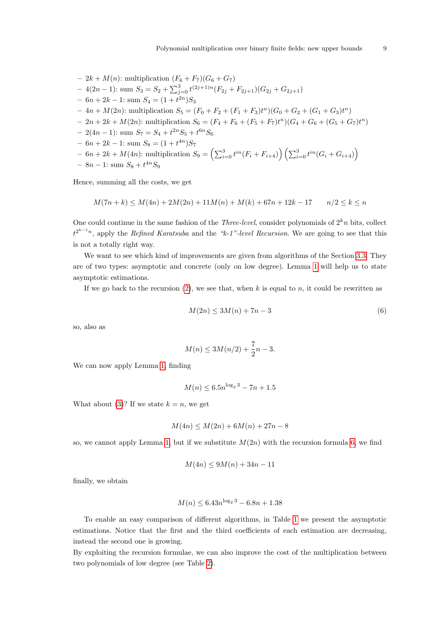$$
- 2k + M(n): multiplication (F_6 + F_7)(G_6 + G_7)
$$
  
\n
$$
- 4(2n - 1): sum S_3 = S_2 + \sum_{j=0}^3 t^{(2j+1)n} (F_{2j} + F_{2j+1})(G_{2j} + G_{2j+1})
$$
  
\n
$$
- 6n + 2k - 1: sum S_4 = (1 + t^{2n})S_3
$$
  
\n
$$
- 4n + M(2n): multiplication S_5 = (F_0 + F_2 + (F_1 + F_3)t^n)(G_0 + G_2 + (G_1 + G_3)t^n)
$$
  
\n
$$
- 2n + 2k + M(2n): multiplication S_6 = (F_4 + F_6 + (F_5 + F_7)t^n)(G_4 + G_6 + (G_5 + G_7)t^n)
$$
  
\n
$$
- 2(4n - 1): sum S_7 = S_4 + t^{2n}S_5 + t^{6n}S_6
$$
  
\n
$$
- 6n + 2k - 1: sum S_8 = (1 + t^{4n})S_7
$$
  
\n
$$
- 6n + 2k + M(4n): multiplication S_9 = (\sum_{i=0}^3 t^{in}(F_i + F_{i+4})) (\sum_{i=0}^3 t^{in}(G_i + G_{i+4}))
$$

$$
- 8n - 1
$$
: sum  $S_8 + t^{4n}S_9$ 

Hence, summing all the costs, we get

$$
M(7n+k) \le M(4n) + 2M(2n) + 11M(n) + M(k) + 67n + 12k - 17 \qquad n/2 \le k \le n
$$

One could continue in the same fashion of the *Three-level*, consider polynomials of  $2<sup>k</sup>n$  bits, collect  $t^{2^{k-1}n}$ , apply the *Refined Karatsuba* and the "k-1"-level *Recursion*. We are going to see that this is not a totally right way.

We want to see which kind of improvements are given from algorithms of the Section [3.3.](#page-4-1) They are of two types: asymptotic and concrete (only on low degree). Lemma [1](#page-6-1) will help us to state asymptotic estimations.

<span id="page-8-0"></span>If we go back to the recursion  $(2)$ , we see that, when k is equal to n, it could be rewritten as

$$
M(2n) \le 3M(n) + 7n - 3\tag{6}
$$

so, also as

$$
M(n) \le 3M(n/2) + \frac{7}{2}n - 3.
$$

We can now apply Lemma [1,](#page-6-1) finding

$$
M(n) \le 6.5n^{\log_2 3} - 7n + 1.5
$$

What about [\(3\)](#page-5-1)? If we state  $k = n$ , we get

$$
M(4n) \le M(2n) + 6M(n) + 27n - 8
$$

so, we cannot apply Lemma [1,](#page-6-1) but if we substitute  $M(2n)$  with the recursion formula [6,](#page-8-0) we find

$$
M(4n) \le 9M(n) + 34n - 11
$$

finally, we obtain

$$
M(n) \le 6.43n^{\log_2 3} - 6.8n + 1.38
$$

To enable an easy comparison of different algorithms, in Table [1](#page-9-0) we present the asymptotic estimations. Notice that the first and the third coefficients of each estimation are decreasing, instead the second one is growing.

By exploiting the recursion formulae, we can also improve the cost of the multiplication between two polynomials of low degree (see Table [2\)](#page-9-1).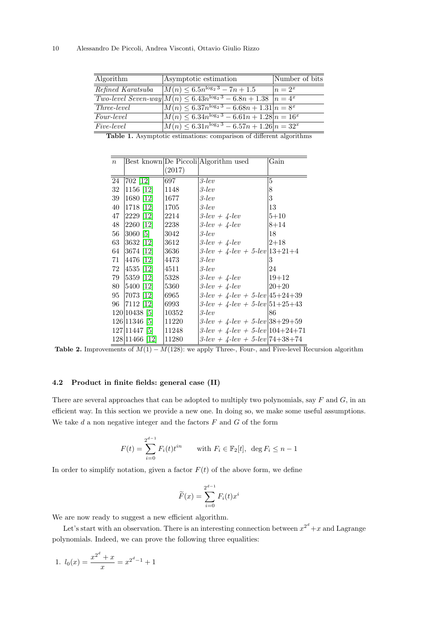| Algorithm          | Asymptotic estimation                                                           | Number of bits |
|--------------------|---------------------------------------------------------------------------------|----------------|
| Refined Karatsuba  | $M(n) \leq 6.5n^{\log_2 3} - 7n + 1.5$                                          | $n=2^x$        |
|                    | <i>Two-level Seven-way</i> $M(n) \leq 6.43n^{\log_2 3} - 6.8n + 1.38$ $n = 4^x$ |                |
| <i>Three-level</i> | $M(n) \leq 6.37n^{\log_2 3} - 6.68n + 1.31 n = 8^x$                             |                |
| <i>Four-level</i>  | $M(n) \leq 6.34n^{\log_2 3} - 6.61n + 1.28 n = 16^x$                            |                |
| <i>Five-level</i>  | $M(n) \leq 6.31n^{\log_2 3} - 6.57n + 1.26 n = 32^x$                            |                |

<span id="page-9-0"></span>Table 1. Asymptotic estimations: comparison of different algorithms

| $\boldsymbol{n}$ |                |        | Best known De Piccoli Algorithm used        | Gain      |
|------------------|----------------|--------|---------------------------------------------|-----------|
|                  |                | (2017) |                                             |           |
| 24               | 702 [12]       | 697    | $3$ -lev                                    | 5         |
| $32\,$           | $1156$ [12]    | 1148   | $3$ -lev                                    | 8         |
| 39               | 1680 [12]      | 1677   | $3$ -lev                                    | 3         |
| 40               | 1718 [12]      | 1705   | $3$ -lev                                    | 13        |
| 47               | 2229 [12]      | 2214   | $3$ -lev + $4$ -lev                         | $5 + 10$  |
| 48               | 2260 [12]      | 2238   | $3$ -lev + 4-lev                            | $8 + 14$  |
| 56               | 3060 [5]       | 3042   | $3$ -lev                                    | 18        |
| 63               | 3632 [12]      | 3612   | $3$ -lev + $4$ -lev                         | $2 + 18$  |
| 64               | 3674 [12]      | 3636   | $3$ -lev + $4$ -lev + $5$ -lev $ 13+21+4 $  |           |
| 71               | 4476 [12]      | 4473   | $3$ -lev                                    | 3         |
|                  | 72 4535 [12]   | 4511   | $3$ -lev                                    | 24        |
| 79               | 5359 [12]      | 5328   | $3$ -lev + $4$ -lev                         | $19 + 12$ |
| 80               | 5400 [12]      | 5360   | $3$ -lev + $4$ -lev                         | $ 20+20$  |
| 95               | 7073 [12]      | 6965   | $3$ -lev + 4-lev + 5-lev $ 45+24+39 $       |           |
|                  | 96   7112   12 | 6993   | $3$ -lev + $4$ -lev + $5$ -lev $ 51+25+43 $ |           |
|                  | 120 10438 [5]  | 10352  | $3$ -lev                                    | 86        |
|                  | 126 11346 [5]  | 11220  | $3$ -lev + $4$ -lev + $5$ -lev $ 38+29+59 $ |           |
|                  | 127 11447 [5]  | 11248  | $3$ -lev + $4$ -lev + $5$ -lev $ 104+24+71$ |           |
|                  | 128 11466 [12] | 11280  | $3$ -lev + 4-lev + 5-lev 74+38+74           |           |

<span id="page-9-1"></span>Table 2. Improvements of  $M(1) - M(128)$ : we apply Three-, Four-, and Five-level Recursion algorithm

## <span id="page-9-2"></span>4.2 Product in finite fields: general case (II)

There are several approaches that can be adopted to multiply two polynomials, say  $F$  and  $G$ , in an efficient way. In this section we provide a new one. In doing so, we make some useful assumptions. We take  $d$  a non negative integer and the factors  $F$  and  $G$  of the form

$$
F(t) = \sum_{i=0}^{2^{d-1}} F_i(t) t^{in} \quad \text{with } F_i \in \mathbb{F}_2[t], \ \deg F_i \le n-1
$$

In order to simplify notation, given a factor  $F(t)$  of the above form, we define

$$
\widetilde{F}(x) = \sum_{i=0}^{2^{d-1}} F_i(t)x^i
$$

We are now ready to suggest a new efficient algorithm.

Let's start with an observation. There is an interesting connection between  $x^{2^d} + x$  and Lagrange polynomials. Indeed, we can prove the following three equalities:

1. 
$$
l_0(x) = \frac{x^{2^d} + x}{x} = x^{2^d - 1} + 1
$$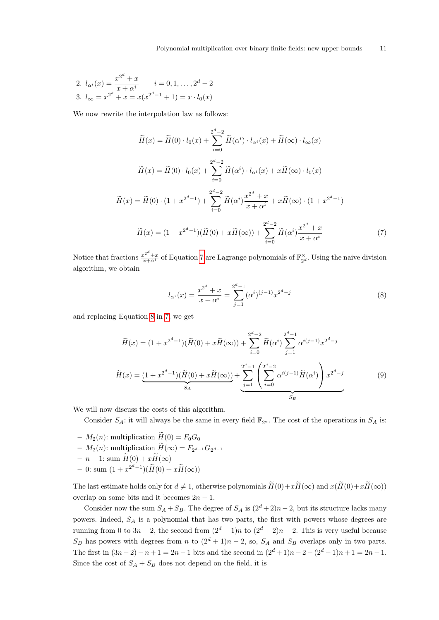2. 
$$
l_{\alpha^i}(x) = \frac{x^{2^d} + x}{x + \alpha^i}
$$
  $i = 0, 1, ..., 2^d - 2$   
3.  $l_{\infty} = x^{2^d} + x = x(x^{2^d - 1} + 1) = x \cdot l_0(x)$ 

We now rewrite the interpolation law as follows:

$$
\widetilde{H}(x) = \widetilde{H}(0) \cdot l_0(x) + \sum_{i=0}^{2^d - 2} \widetilde{H}(\alpha^i) \cdot l_{\alpha^i}(x) + \widetilde{H}(\infty) \cdot l_{\infty}(x)
$$
\n
$$
\widetilde{H}(x) = \widetilde{H}(0) \cdot l_0(x) + \sum_{i=0}^{2^d - 2} \widetilde{H}(\alpha^i) \cdot l_{\alpha^i}(x) + x \widetilde{H}(\infty) \cdot l_0(x)
$$
\n
$$
\widetilde{H}(x) = \widetilde{H}(0) \cdot (1 + x^{2^d - 1}) + \sum_{i=0}^{2^d - 2} \widetilde{H}(\alpha^i) \frac{x^{2^d} + x}{x + \alpha^i} + x \widetilde{H}(\infty) \cdot (1 + x^{2^d - 1})
$$
\n
$$
\widetilde{H}(x) = (1 + x^{2^d - 1})(\widetilde{H}(0) + x \widetilde{H}(\infty)) + \sum_{i=0}^{2^d - 2} \widetilde{H}(\alpha^i) \frac{x^{2^d} + x}{x + \alpha^i} \tag{7}
$$

<span id="page-10-1"></span><span id="page-10-0"></span>Notice that fractions  $\frac{x^{2^d}+x}{x+\alpha^i}$  of Equation [7](#page-10-0) are Lagrange polynomials of  $\mathbb{F}_{2^d}^{\times}$ . Using the naive division algorithm, we obtain

$$
l_{\alpha^{i}}(x) = \frac{x^{2^{d}} + x}{x + \alpha^{i}} = \sum_{j=1}^{2^{d}-1} (\alpha^{i})^{(j-1)} x^{2^{d}-j}
$$
\n(8)

and replacing Equation [8](#page-10-1) in [7,](#page-10-0) we get

$$
\widetilde{H}(x) = (1 + x^{2^d - 1})(\widetilde{H}(0) + x\widetilde{H}(\infty)) + \sum_{i=0}^{2^d - 2} \widetilde{H}(\alpha^i) \sum_{j=1}^{2^d - 1} \alpha^{i(j-1)} x^{2^d - j}
$$
\n
$$
\widetilde{H}(x) = \underbrace{(1 + x^{2^d - 1})(\widetilde{H}(0) + x\widetilde{H}(\infty))}_{S_A} + \underbrace{\sum_{j=1}^{2^d - 1} \left(\sum_{i=0}^{2^d - 2} \alpha^{i(j-1)} \widetilde{H}(\alpha^i)\right) x^{2^d - j}}_{S_B} \tag{9}
$$

<span id="page-10-2"></span>We will now discuss the costs of this algorithm.

Consider  $S_A$ : it will always be the same in every field  $\mathbb{F}_{2^d}$ . The cost of the operations in  $S_A$  is:

- $M_2(n)$ : multiplication  $\widetilde{H}(0) = F_0G_0$
- $-M_2(n)$ : multiplication  $H(\infty) = F_{2^{d-1}}G_{2^{d-1}}$
- n 1: sum  $\widetilde{H}(0) + x\widetilde{H}(\infty)$
- $0$ : sum  $(1 + x^{2^d 1})(\widetilde{H}(0) + x\widetilde{H}(\infty))$

The last estimate holds only for  $d \neq 1$ , otherwise polynomials  $\widetilde{H}(0)+x\widetilde{H}(\infty)$  and  $x(\widetilde{H}(0)+x\widetilde{H}(\infty))$ overlap on some bits and it becomes  $2n - 1$ .

Consider now the sum  $S_A + S_B$ . The degree of  $S_A$  is  $(2<sup>d</sup> + 2)n - 2$ , but its structure lacks many powers. Indeed,  $S_A$  is a polynomial that has two parts, the first with powers whose degrees are running from 0 to 3n – 2, the second from  $(2<sup>d</sup> - 1)n$  to  $(2<sup>d</sup> + 2)n - 2$ . This is very useful because  $S_B$  has powers with degrees from n to  $(2^d + 1)n - 2$ , so,  $S_A$  and  $S_B$  overlaps only in two parts. The first in  $(3n-2)-n+1=2n-1$  bits and the second in  $(2^d+1)n-2-(2^d-1)n+1=2n-1$ . Since the cost of  $S_A + S_B$  does not depend on the field, it is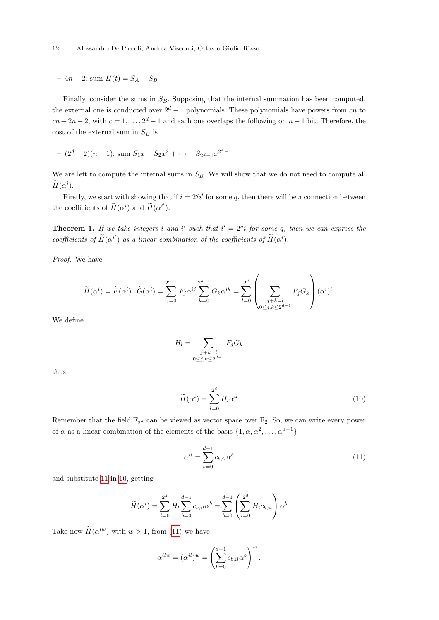$-4n-2$ : sum  $H(t) = S_A + S_B$ 

Finally, consider the sums in  $S_B$ . Supposing that the internal summation has been computed, the external one is conducted over  $2^d - 1$  polynomials. These polynomials have powers from cn to  $cn + 2n - 2$ , with  $c = 1, ..., 2<sup>d</sup> - 1$  and each one overlaps the following on  $n - 1$  bit. Therefore, the cost of the external sum in  $S_B$  is

$$
- (2d - 2)(n - 1): sum S1x + S2x2 + \dots + S2d-1x2d-1
$$

We are left to compute the internal sums in  $S_B$ . We will show that we do not need to compute all  $\widetilde{H}(\alpha^i)$ .

Firstly, we start with showing that if  $i = 2^q i'$  for some q, then there will be a connection between the coefficients of  $\widetilde{H}(\alpha^i)$  and  $\widetilde{H}(\alpha^{i'})$ .

**Theorem 1.** If we take integers i and i' such that  $i' = 2^{q}i$  for some q, then we can express the coefficients of  $\widetilde{H}(\alpha^{i'})$  as a linear combination of the coefficients of  $\widetilde{H}(\alpha^{i})$ .

Proof. We have

$$
\widetilde{H}(\alpha^i) = \widetilde{F}(\alpha^i) \cdot \widetilde{G}(\alpha^i) = \sum_{j=0}^{2^{d-1}} F_j \alpha^{ij} \sum_{k=0}^{2^{d-1}} G_k \alpha^{ik} = \sum_{l=0}^{2^d} \left( \sum_{\substack{j+k=l \ 0 \le j,k \le 2^{d-1}}} F_j G_k \right) (\alpha^i)^l.
$$

We define

$$
H_l = \sum_{\substack{j+k=l\\0\leq j,k\leq 2^{d-1}}} F_j G_k
$$

<span id="page-11-1"></span>thus

$$
\widetilde{H}(\alpha^i) = \sum_{l=0}^{2^d} H_l \alpha^{il} \tag{10}
$$

<span id="page-11-0"></span>Remember that the field  $\mathbb{F}_{2^d}$  can be viewed as vector space over  $\mathbb{F}_2$ . So, we can write every power of  $\alpha$  as a linear combination of the elements of the basis  $\{1, \alpha, \alpha^2, \dots, \alpha^{d-1}\}\$ 

$$
\alpha^{il} = \sum_{b=0}^{d-1} c_{b,il} \alpha^b \tag{11}
$$

and substitute [11](#page-11-0) in [10,](#page-11-1) getting

$$
\widetilde{H}(\alpha^i) = \sum_{l=0}^{2^d} H_l \sum_{b=0}^{d-1} c_{b,il} \alpha^b = \sum_{b=0}^{d-1} \left( \sum_{l=0}^{2^d} H_l c_{b,il} \right) \alpha^b
$$

Take now  $H(\alpha^{iw})$  with  $w > 1$ , from [\(11\)](#page-11-0) we have

$$
\alpha^{ilw} = (\alpha^{il})^w = \left(\sum_{b=0}^{d-1} c_{b,il} \alpha^b\right)^w.
$$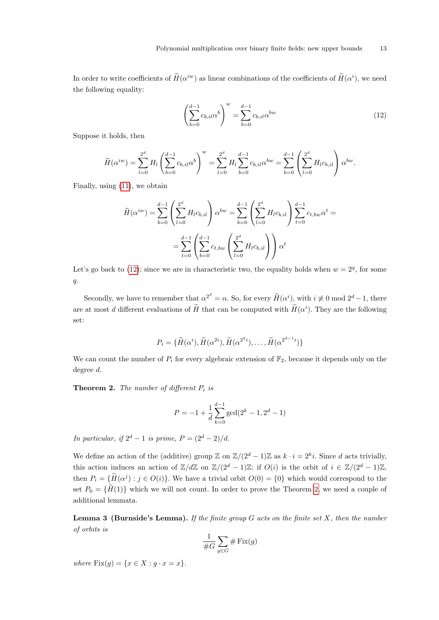<span id="page-12-0"></span>In order to write coefficients of  $H(\alpha^{iw})$  as linear combinations of the coefficients of  $H(\alpha^i)$ , we need the following equality:

$$
\left(\sum_{b=0}^{d-1} c_{b,i} a^b\right)^w = \sum_{b=0}^{d-1} c_{b,i} a^{bw} \tag{12}
$$

Suppose it holds, then

$$
\widetilde{H}(\alpha^{iw}) = \sum_{l=0}^{2^d} H_l \left( \sum_{b=0}^{d-1} c_{b,il} \alpha^b \right)^w = \sum_{l=0}^{2^d} H_l \sum_{b=0}^{d-1} c_{b,il} \alpha^{bw} = \sum_{b=0}^{d-1} \left( \sum_{l=0}^{2^d} H_l c_{b,il} \right) \alpha^{bw}.
$$

Finally, using [\(11\)](#page-11-0), we obtain

$$
\widetilde{H}(\alpha^{iw}) = \sum_{b=0}^{d-1} \left( \sum_{l=0}^{2^d} H_l c_{b,il} \right) \alpha^{bw} = \sum_{b=0}^{d-1} \left( \sum_{l=0}^{2^d} H_l c_{b,il} \right) \sum_{t=0}^{d-1} c_{t,bw} \alpha^t =
$$
\n
$$
= \sum_{t=0}^{d-1} \left( \sum_{b=0}^{d-1} c_{t,bw} \left( \sum_{l=0}^{2^d} H_l c_{b,il} \right) \right) \alpha^t
$$

Let's go back to [\(12\)](#page-12-0): since we are in characteristic two, the equality holds when  $w = 2<sup>q</sup>$ , for some q.

Secondly, we have to remember that  $\alpha^{2^d} = \alpha$ . So, for every  $\widetilde{H}(\alpha^i)$ , with  $i \not\equiv 0 \mod 2^d - 1$ , there are at most d different evaluations of  $\tilde{H}$  that can be computed with  $\tilde{H}(\alpha^i)$ . They are the following set:

$$
P_i = \{ \widetilde{H}(\alpha^{i}), \widetilde{H}(\alpha^{2i}), \widetilde{H}(\alpha^{2^{i}}), \dots, \widetilde{H}(\alpha^{2^{d-1}i}) \}
$$

We can count the number of  $P_i$  for every algebraic extension of  $\mathbb{F}_2$ , because it depends only on the degree d.

<span id="page-12-1"></span>**Theorem 2.** The number of different  $P_i$  is

$$
P = -1 + \frac{1}{d} \sum_{k=0}^{d-1} \gcd(2^k - 1, 2^d - 1)
$$

In particular, if  $2^d - 1$  is prime,  $P = (2^d - 2)/d$ .

We define an action of the (additive) group  $\mathbb{Z}$  on  $\mathbb{Z}/(2^d-1)\mathbb{Z}$  as  $k \cdot i = 2^k i$ . Since d acts trivially, this action induces an action of  $\mathbb{Z}/d\mathbb{Z}$  on  $\mathbb{Z}/(2^d-1)\mathbb{Z}$ : if  $O(i)$  is the orbit of  $i \in \mathbb{Z}/(2^d-1)\mathbb{Z}$ , then  $P_i = \{ \overline{H}(\alpha^j) : j \in O(i) \}$ . We have a trivial orbit  $O(0) = \{0\}$  which would correspond to the set  $P_0 = {\tilde{H}(1)}$  which we will not count. In order to prove the Theorem [2,](#page-12-1) we need a couple of additional lemmata.

**Lemma 3 (Burnside's Lemma).** If the finite group  $G$  acts on the finite set  $X$ , then the number of orbits is

$$
\frac{1}{\#G}\sum_{g\in G}\#\operatorname{Fix}(g)
$$

where  $Fix(g) = \{x \in X : g \cdot x = x\}.$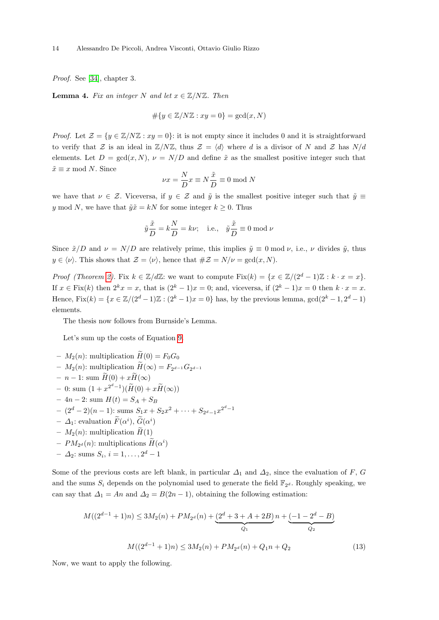Proof. See [\[34\]](#page-18-15), chapter 3.

**Lemma 4.** Fix an integer N and let  $x \in \mathbb{Z}/N\mathbb{Z}$ . Then

$$
\#\{y \in \mathbb{Z}/N\mathbb{Z} : xy = 0\} = \gcd(x, N)
$$

*Proof.* Let  $\mathcal{Z} = \{y \in \mathbb{Z}/N\mathbb{Z} : xy = 0\}$ : it is not empty since it includes 0 and it is straightforward to verify that Z is an ideal in  $\mathbb{Z}/N\mathbb{Z}$ , thus  $\mathcal{Z} = \langle d \rangle$  where d is a divisor of N and Z has  $N/d$ elements. Let  $D = \gcd(x, N), \nu = N/D$  and define  $\tilde{x}$  as the smallest positive integer such that  $\tilde{x} \equiv x \mod N$ . Since

$$
\nu x = \frac{N}{D} x \equiv N \frac{\tilde{x}}{D} \equiv 0 \text{ mod } N
$$

we have that  $\nu \in \mathcal{Z}$ . Viceversa, if  $y \in \mathcal{Z}$  and  $\tilde{y}$  is the smallest positive integer such that  $\tilde{y} \equiv$ y mod N, we have that  $\tilde{y}\tilde{x} = kN$  for some integer  $k \geq 0$ . Thus

$$
\tilde{y}\frac{\tilde{x}}{D} = k\frac{N}{D} = k\nu;
$$
 i.e.,  $\tilde{y}\frac{\tilde{x}}{D} \equiv 0 \mod \nu$ 

Since  $\tilde{x}/D$  and  $\nu = N/D$  are relatively prime, this implies  $\tilde{y} \equiv 0 \mod \nu$ , i.e.,  $\nu$  divides  $\tilde{y}$ , thus  $y \in \langle \nu \rangle$ . This shows that  $\mathcal{Z} = \langle \nu \rangle$ , hence that  $\#\mathcal{Z} = N/\nu = \gcd(x, N)$ .

*Proof (Theorem [2\)](#page-12-1).* Fix  $k \in \mathbb{Z}/d\mathbb{Z}$ : we want to compute Fix $(k) = \{x \in \mathbb{Z}/(2^d-1)\mathbb{Z} : k \cdot x = x\}$ . If  $x \in \text{Fix}(k)$  then  $2^k x = x$ , that is  $(2^k - 1)x = 0$ ; and, viceversa, if  $(2^k - 1)x = 0$  then  $k \cdot x = x$ . Hence,  $Fix(k) = \{x \in \mathbb{Z}/(2^d-1)\mathbb{Z} : (2^k-1)x = 0\}$  has, by the previous lemma,  $gcd(2^k-1, 2^d-1)$ elements.

The thesis now follows from Burnside's Lemma.

Let's sum up the costs of Equation [9.](#page-10-2)

- $M_2(n)$ : multiplication  $\widetilde{H}(0) = F_0G_0$
- $-M_2(n)$ : multiplication  $H(\infty) = F_{2^{d-1}}G_{2^{d-1}}$
- $n 1$ : sum  $\widetilde{H}(0) + x \widetilde{H}(\infty)$
- $0$ : sum  $(1 + x^{2^d 1})(\widetilde{H}(0) + x\widetilde{H}(\infty))$
- $-4n-2$ : sum  $H(t) = S_A + S_B$
- $(2<sup>d</sup> 2)(n 1)$ : sums  $S_1x + S_2x^2 + \cdots + S_{2<sup>d</sup> 1}x^{2<sup>d</sup> 1}$
- $\Delta_1$ : evaluation  $\widetilde{F}(\alpha^i)$ ,  $\widetilde{G}(\alpha^i)$
- $M_2(n)$ : multiplication  $\tilde{H}(1)$
- $-PM_{2^d}(n)$ : multiplications  $\widetilde{H}(\alpha^i)$
- $\Delta_2$ : sums  $S_i, i = 1, ..., 2^d 1$

Some of the previous costs are left blank, in particular  $\Delta_1$  and  $\Delta_2$ , since the evaluation of F, G and the sums  $S_i$  depends on the polynomial used to generate the field  $\mathbb{F}_{2^d}$ . Roughly speaking, we can say that  $\Delta_1 = An$  and  $\Delta_2 = B(2n-1)$ , obtaining the following estimation:

$$
M((2^{d-1}+1)n) \le 3M_2(n) + PM_{2^d}(n) + \underbrace{(2^d+3+A+2B)}_{Q_1}n + \underbrace{(-1-2^d-B)}_{Q_2}
$$
  

$$
M((2^{d-1}+1)n) \le 3M_2(n) + PM_{2^d}(n) + Q_1n + Q_2
$$
 (13)

<span id="page-13-1"></span><span id="page-13-0"></span>Now, we want to apply the following.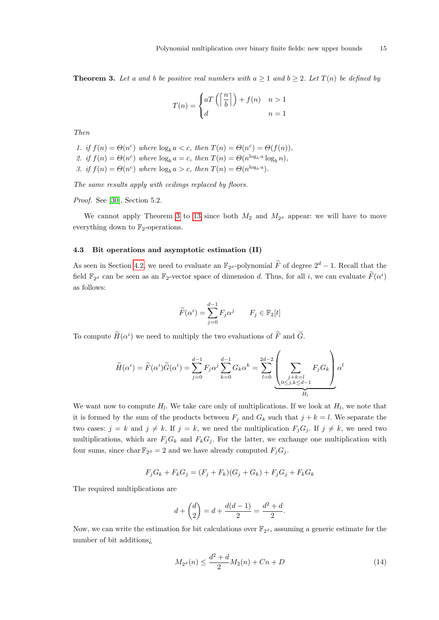**Theorem 3.** Let a and b be positive real numbers with  $a \ge 1$  and  $b \ge 2$ . Let  $T(n)$  be defined by

$$
T(n) = \begin{cases} aT\left(\left\lceil \frac{n}{b} \right\rceil\right) + f(n) & n > 1 \\ d & n = 1 \end{cases}
$$

Then

1. if  $f(n) = \Theta(n^c)$  where  $\log_b a < c$ , then  $T(n) = \Theta(n^c) = \Theta(f(n)),$ 2. if  $f(n) = \Theta(n^c)$  where  $\log_b a = c$ , then  $T(n) = \Theta(n^{\log_b a} \log_b n)$ , 3. if  $f(n) = \Theta(n^c)$  where  $\log_b a > c$ , then  $T(n) = \Theta(n^{\log_b a})$ .

The same results apply with ceilings replaced by floors.

Proof. See [\[30\]](#page-18-16), Section 5.2.

We cannot apply Theorem [3](#page-13-0) to [13](#page-13-1) since both  $M_2$  and  $M_{2^d}$  appear: we will have to move everything down to  $\mathbb{F}_2$ -operations.

#### 4.3 Bit operations and asymptotic estimation (II)

As seen in Section [4.2,](#page-9-2) we need to evaluate an  $\mathbb{F}_{2^d}$ -polynomial  $\widetilde{F}$  of degree  $2^d - 1$ . Recall that the field  $\mathbb{F}_{2^d}$  can be seen as an  $\mathbb{F}_2$ -vector space of dimension d. Thus, for all i, we can evaluate  $\widetilde{F}(\alpha^i)$ as follows:

$$
\widetilde{F}(\alpha^i) = \sum_{j=0}^{d-1} F_j \alpha^j \qquad F_j \in \mathbb{F}_2[t]
$$

To compute  $\widetilde{H}(\alpha^i)$  we need to multiply the two evaluations of  $\widetilde{F}$  and  $\widetilde{G}$ .

$$
\widetilde{H}(\alpha^i) = \widetilde{F}(\alpha^i)\widetilde{G}(\alpha^i) = \sum_{j=0}^{d-1} F_j \alpha^j \sum_{k=0}^{d-1} G_k \alpha^k = \sum_{l=0}^{2d-2} \left( \sum_{\substack{j+k=l \ 0 \le j,k \le d-1}} F_j G_k \right) \alpha^l
$$

We want now to compute  $H_l$ . We take care only of multiplications. If we look at  $H_l$ , we note that it is formed by the sum of the products between  $F_j$  and  $G_k$  such that  $j + k = l$ . We separate the two cases:  $j = k$  and  $j \neq k$ . If  $j = k$ , we need the multiplication  $F_jG_j$ . If  $j \neq k$ , we need two multiplications, which are  $F_jG_k$  and  $F_kG_j$ . For the latter, we exchange one multiplication with four sums, since char  $\mathbb{F}_{2^d} = 2$  and we have already computed  $F_j G_j$ .

$$
F_j G_k + F_k G_j = (F_j + F_k)(G_j + G_k) + F_j G_j + F_k G_k
$$

The required multiplications are

$$
d + \binom{d}{2} = d + \frac{d(d-1)}{2} = \frac{d^2 + d}{2}.
$$

<span id="page-14-0"></span>Now, we can write the estimation for bit calculations over  $\mathbb{F}_{2^d}$ , assuming a generic estimate for the number of bit additions¿

$$
M_{2^d}(n) \le \frac{d^2 + d}{2} M_2(n) + Cn + D \tag{14}
$$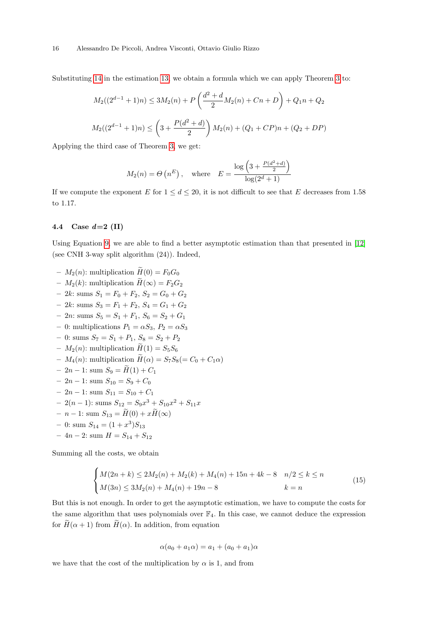Substituting [14](#page-14-0) in the estimation [13,](#page-13-1) we obtain a formula which we can apply Theorem [3](#page-13-0) to:

$$
M_2((2^{d-1}+1)n) \le 3M_2(n) + P\left(\frac{d^2+d}{2}M_2(n) + Cn + D\right) + Q_1n + Q_2
$$
  

$$
M_2((2^{d-1}+1)n) \le \left(3 + \frac{P(d^2+d)}{2}\right)M_2(n) + (Q_1 + CP)n + (Q_2 + DP)
$$

Applying the third case of Theorem [3,](#page-13-0) we get:

$$
M_2(n) = \Theta\left(n^E\right), \quad \text{where} \quad E = \frac{\log\left(3 + \frac{P(d^2 + d)}{2}\right)}{\log(2^d + 1)}
$$

If we compute the exponent E for  $1 \leq d \leq 20$ , it is not difficult to see that E decreases from 1.58 to 1.17.

#### 4.4 Case  $d=2$  (II)

Using Equation [9,](#page-10-2) we are able to find a better asymptotic estimation than that presented in [\[12\]](#page-17-3) (see CNH 3-way split algorithm (24)). Indeed,

- $M_2(n)$ : multiplication  $\widetilde{H}(0) = F_0G_0$
- $M_2(k)$ : multiplication  $\widetilde{H}(\infty) = F_2G_2$
- 2k: sums  $S_1 = F_0 + F_2$ ,  $S_2 = G_0 + G_2$
- 2k: sums  $S_3 = F_1 + F_2$ ,  $S_4 = G_1 + G_2$
- 2*n*: sums  $S_5 = S_1 + F_1$ ,  $S_6 = S_2 + G_1$
- 0: multiplications  $P_1 = \alpha S_3$ ,  $P_2 = \alpha S_3$
- 0: sums  $S_7 = S_1 + P_1$ ,  $S_8 = S_2 + P_2$
- $M_2(n)$ : multiplication  $\widetilde{H}(1) = S_5S_6$
- $-M_4(n)$ : multiplication  $\widetilde{H}(\alpha) = S_7S_8(=C_0 + C_1\alpha)$
- 2n 1: sum  $S_9 = H(1) + C_1$
- 2n 1: sum  $S_{10} = S_9 + C_0$
- 2*n* − 1: sum  $S_{11} = S_{10} + C_1$
- $-2(n-1)$ : sums  $S_{12} = S_9 x^3 + S_{10} x^2 + S_{11} x$
- *n* − 1: sum  $S_{13} = \widetilde{H}(0) + x\widetilde{H}(\infty)$
- $-$  0: sum  $S_{14} = (1 + x^3)S_{13}$
- 4*n* − 2: sum  $H = S_{14} + S_{12}$

<span id="page-15-0"></span>Summing all the costs, we obtain

$$
\begin{cases} M(2n+k) \le 2M_2(n) + M_2(k) + M_4(n) + 15n + 4k - 8 & n/2 \le k \le n \\ M(3n) \le 3M_2(n) + M_4(n) + 19n - 8 & k = n \end{cases}
$$
(15)

But this is not enough. In order to get the asymptotic estimation, we have to compute the costs for the same algorithm that uses polynomials over  $\mathbb{F}_4$ . In this case, we cannot deduce the expression for  $H(\alpha + 1)$  from  $H(\alpha)$ . In addition, from equation

$$
\alpha(a_0 + a_1\alpha) = a_1 + (a_0 + a_1)\alpha
$$

we have that the cost of the multiplication by  $\alpha$  is 1, and from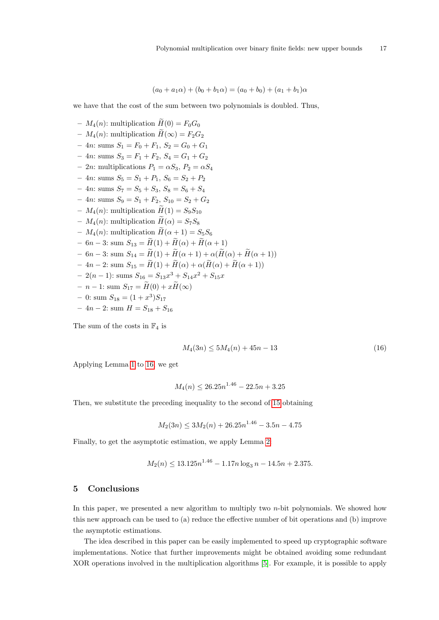$$
(a_0 + a_1 \alpha) + (b_0 + b_1 \alpha) = (a_0 + b_0) + (a_1 + b_1)\alpha
$$

we have that the cost of the sum between two polynomials is doubled. Thus,

–  $M_4(n)$ : multiplication  $\widetilde{H}(0) = F_0G_0$ –  $M_4(n)$ : multiplication  $\widetilde{H}(\infty) = F_2G_2$ – 4*n*: sums  $S_1 = F_0 + F_1$ ,  $S_2 = G_0 + G_1$  $-4n$ : sums  $S_3 = F_1 + F_2$ ,  $S_4 = G_1 + G_2$ – 2n: multiplications  $P_1 = \alpha S_3$ ,  $P_2 = \alpha S_4$ – 4n: sums  $S_5 = S_1 + P_1$ ,  $S_6 = S_2 + P_2$  $-4n$ : sums  $S_7 = S_5 + S_3$ ,  $S_8 = S_6 + S_4$  $-4n$ : sums  $S_9 = S_1 + F_2, S_{10} = S_2 + G_2$ –  $M_4(n)$ : multiplication  $H(1) = S_9S_{10}$ –  $M_4(n)$ : multiplication  $H(\alpha) = S_7S_8$ –  $M_4(n)$ : multiplication  $H(\alpha + 1) = S_5S_6$  $-6n-3$ : sum  $S_{13} = \widetilde{H}(1) + \widetilde{H}(\alpha) + \widetilde{H}(\alpha+1)$  $- 6n - 3$ : sum  $S_{14} = \widetilde{H}(1) + \widetilde{H}(\alpha + 1) + \alpha(\widetilde{H}(\alpha) + \widetilde{H}(\alpha + 1))$  $-4n-2$ : sum  $S_{15} = \widetilde{H}(1) + \widetilde{H}(\alpha) + \alpha(\widetilde{H}(\alpha) + \widetilde{H}(\alpha+1))$  $-2(n-1)$ : sums  $S_{16} = S_{13}x^3 + S_{14}x^2 + S_{15}x$  $- n - 1$ : sum  $S_{17} = \widetilde{H}(0) + x\widetilde{H}(\infty)$  $-$  0: sum  $S_{18} = (1+x^3)S_{17}$  $-4n-2$ : sum  $H = S_{18} + S_{16}$ 

<span id="page-16-1"></span>The sum of the costs in  $\mathbb{F}_4$  is

$$
M_4(3n) \le 5M_4(n) + 45n - 13\tag{16}
$$

Applying Lemma [1](#page-6-1) to [16,](#page-16-1) we get

$$
M_4(n) \le 26.25n^{1.46} - 22.5n + 3.25
$$

Then, we substitute the preceding inequality to the second of [15](#page-15-0) obtaining

$$
M_2(3n) \le 3M_2(n) + 26.25n^{1.46} - 3.5n - 4.75
$$

Finally, to get the asymptotic estimation, we apply Lemma [2:](#page-6-2)

$$
M_2(n) \le 13.125n^{1.46} - 1.17n \log_3 n - 14.5n + 2.375.
$$

#### <span id="page-16-0"></span>5 Conclusions

In this paper, we presented a new algorithm to multiply two  $n$ -bit polynomials. We showed how this new approach can be used to (a) reduce the effective number of bit operations and (b) improve the asymptotic estimations.

The idea described in this paper can be easily implemented to speed up cryptographic software implementations. Notice that further improvements might be obtained avoiding some redundant XOR operations involved in the multiplication algorithms [\[5\]](#page-17-0). For example, it is possible to apply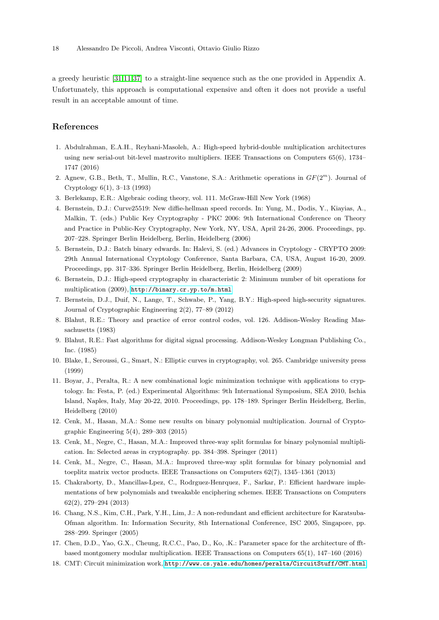a greedy heuristic [\[31,](#page-18-17)[11,](#page-17-16)[37\]](#page-18-18) to a straight-line sequence such as the one provided in Appendix A. Unfortunately, this approach is computational expensive and often it does not provide a useful result in an acceptable amount of time.

# References

- <span id="page-17-11"></span>1. Abdulrahman, E.A.H., Reyhani-Masoleh, A.: High-speed hybrid-double multiplication architectures using new serial-out bit-level mastrovito multipliers. IEEE Transactions on Computers 65(6), 1734– 1747 (2016)
- <span id="page-17-7"></span>2. Agnew, G.B., Beth, T., Mullin, R.C., Vanstone, S.A.: Arithmetic operations in  $GF(2<sup>m</sup>)$ . Journal of Cryptology 6(1), 3–13 (1993)
- <span id="page-17-5"></span>3. Berlekamp, E.R.: Algebraic coding theory, vol. 111. McGraw-Hill New York (1968)
- <span id="page-17-13"></span>4. Bernstein, D.J.: Curve25519: New diffie-hellman speed records. In: Yung, M., Dodis, Y., Kiayias, A., Malkin, T. (eds.) Public Key Cryptography - PKC 2006: 9th International Conference on Theory and Practice in Public-Key Cryptography, New York, NY, USA, April 24-26, 2006. Proceedings, pp. 207–228. Springer Berlin Heidelberg, Berlin, Heidelberg (2006)
- <span id="page-17-0"></span>5. Bernstein, D.J.: Batch binary edwards. In: Halevi, S. (ed.) Advances in Cryptology - CRYPTO 2009: 29th Annual International Cryptology Conference, Santa Barbara, CA, USA, August 16-20, 2009. Proceedings, pp. 317–336. Springer Berlin Heidelberg, Berlin, Heidelberg (2009)
- <span id="page-17-1"></span>6. Bernstein, D.J.: High-speed cryptography in characteristic 2: Minimum number of bit operations for multiplication (2009), <http://binary.cr.yp.to/m.html>
- <span id="page-17-14"></span>7. Bernstein, D.J., Duif, N., Lange, T., Schwabe, P., Yang, B.Y.: High-speed high-security signatures. Journal of Cryptographic Engineering 2(2), 77–89 (2012)
- <span id="page-17-6"></span>8. Blahut, R.E.: Theory and practice of error control codes, vol. 126. Addison-Wesley Reading Massachusetts (1983)
- <span id="page-17-4"></span>9. Blahut, R.E.: Fast algorithms for digital signal processing. Addison-Wesley Longman Publishing Co., Inc. (1985)
- <span id="page-17-8"></span>10. Blake, I., Seroussi, G., Smart, N.: Elliptic curves in cryptography, vol. 265. Cambridge university press (1999)
- <span id="page-17-16"></span>11. Boyar, J., Peralta, R.: A new combinational logic minimization technique with applications to cryptology. In: Festa, P. (ed.) Experimental Algorithms: 9th International Symposium, SEA 2010, Ischia Island, Naples, Italy, May 20-22, 2010. Proceedings, pp. 178–189. Springer Berlin Heidelberg, Berlin, Heidelberg (2010)
- <span id="page-17-3"></span>12. Cenk, M., Hasan, M.A.: Some new results on binary polynomial multiplication. Journal of Cryptographic Engineering 5(4), 289–303 (2015)
- <span id="page-17-17"></span>13. Cenk, M., Negre, C., Hasan, M.A.: Improved three-way split formulas for binary polynomial multiplication. In: Selected areas in cryptography. pp. 384–398. Springer (2011)
- <span id="page-17-10"></span>14. Cenk, M., Negre, C., Hasan, M.A.: Improved three-way split formulas for binary polynomial and toeplitz matrix vector products. IEEE Transactions on Computers 62(7), 1345–1361 (2013)
- <span id="page-17-9"></span>15. Chakraborty, D., Mancillas-Lpez, C., Rodrguez-Henrquez, F., Sarkar, P.: Efficient hardware implementations of brw polynomials and tweakable enciphering schemes. IEEE Transactions on Computers 62(2), 279–294 (2013)
- <span id="page-17-15"></span>16. Chang, N.S., Kim, C.H., Park, Y.H., Lim, J.: A non-redundant and efficient architecture for Karatsuba-Ofman algorithm. In: Information Security, 8th International Conference, ISC 2005, Singapore, pp. 288–299. Springer (2005)
- <span id="page-17-12"></span>17. Chen, D.D., Yao, G.X., Cheung, R.C.C., Pao, D., Ko, .K.: Parameter space for the architecture of fftbased montgomery modular multiplication. IEEE Transactions on Computers 65(1), 147–160 (2016)
- <span id="page-17-2"></span>18. CMT: Circuit minimization work, <http://www.cs.yale.edu/homes/peralta/CircuitStuff/CMT.html>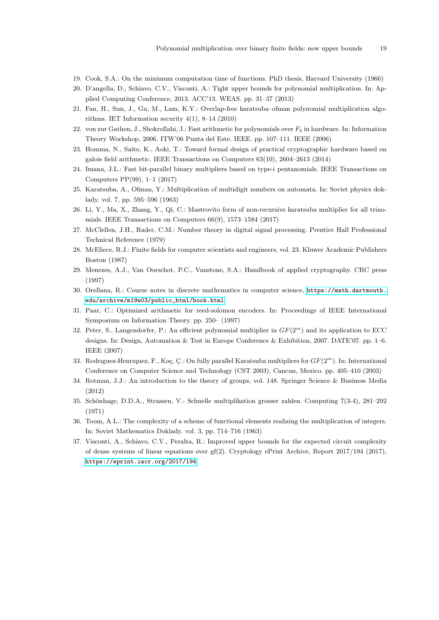- <span id="page-18-13"></span>19. Cook, S.A.: On the minimum computation time of functions. PhD thesis, Harvard University (1966)
- <span id="page-18-0"></span>20. D'angella, D., Schiavo, C.V., Visconti, A.: Tight upper bounds for polynomial multiplication. In: Applied Computing Conference, 2013. ACC'13. WEAS. pp. 31–37 (2013)
- <span id="page-18-10"></span>21. Fan, H., Sun, J., Gu, M., Lam, K.Y.: Overlap-free karatsuba–ofman polynomial multiplication algorithms. IET Information security  $4(1)$ ,  $8-14$   $(2010)$
- <span id="page-18-9"></span>22. von zur Gathen, J., Shokrollahi, J.: Fast arithmetic for polynomials over  $F_2$  in hardware. In: Information Theory Workshop, 2006. ITW'06 Punta del Este. IEEE. pp. 107–111. IEEE (2006)
- <span id="page-18-4"></span>23. Homma, N., Saito, K., Aoki, T.: Toward formal design of practical cryptographic hardware based on galois field arithmetic. IEEE Transactions on Computers 63(10), 2604–2613 (2014)
- <span id="page-18-7"></span>24. Imana, J.L.: Fast bit-parallel binary multipliers based on type-i pentanomials. IEEE Transactions on Computers PP(99), 1–1 (2017)
- <span id="page-18-11"></span>25. Karatsuba, A., Ofman, Y.: Multiplication of multidigit numbers on automata. In: Soviet physics doklady. vol. 7, pp. 595–596 (1963)
- <span id="page-18-6"></span>26. Li, Y., Ma, X., Zhang, Y., Qi, C.: Mastrovito form of non-recursive karatsuba multiplier for all trinomials. IEEE Transactions on Computers 66(9), 1573–1584 (2017)
- <span id="page-18-1"></span>27. McClellen, J.H., Rader, C.M.: Number theory in digital signal processing. Prentice Hall Professional Technical Reference (1979)
- <span id="page-18-2"></span>28. McEliece, R.J.: Finite fields for computer scientists and engineers, vol. 23. Kluwer Academic Publishers Boston (1987)
- <span id="page-18-3"></span>29. Menezes, A.J., Van Oorschot, P.C., Vanstone, S.A.: Handbook of applied cryptography. CRC press (1997)
- <span id="page-18-16"></span>30. Orellana, R.: Course notes in discrete mathematics in computer science, [https://math.dartmouth.](https://math.dartmouth.edu/archive/m19w03/public_html/book.html) [edu/archive/m19w03/public\\_html/book.html](https://math.dartmouth.edu/archive/m19w03/public_html/book.html)
- <span id="page-18-17"></span>31. Paar, C.: Optimized arithmetic for reed-solomon encoders. In: Proceedings of IEEE International Symposium on Information Theory. pp. 250– (1997)
- <span id="page-18-5"></span>32. Peter, S., Langendorfer, P.: An efficient polynomial multiplier in  $GF(2<sup>m</sup>)$  and its application to ECC designs. In: Design, Automation & Test in Europe Conference & Exhibition, 2007. DATE'07. pp. 1–6. IEEE (2007)
- <span id="page-18-8"></span>33. Rodriguez-Henriquez, F., Koç, Ç.: On fully parallel Karatsuba multipliers for  $GF(2^m)$ . In: International Conference on Computer Science and Technology (CST 2003), Cancun, Mexico. pp. 405–410 (2003)
- <span id="page-18-15"></span>34. Rotman, J.J.: An introduction to the theory of groups, vol. 148. Springer Science & Business Media (2012)
- <span id="page-18-14"></span>35. Sch¨onhage, D.D.A., Strassen, V.: Schnelle multiplikation grosser zahlen. Computing 7(3-4), 281–292 (1971)
- <span id="page-18-12"></span>36. Toom, A.L.: The complexity of a scheme of functional elements realizing the multiplication of integers. In: Soviet Mathematics Doklady. vol. 3, pp. 714–716 (1963)
- <span id="page-18-18"></span>37. Visconti, A., Schiavo, C.V., Peralta, R.: Improved upper bounds for the expected circuit complexity of dense systems of linear equations over gf(2). Cryptology ePrint Archive, Report 2017/194 (2017), <https://eprint.iacr.org/2017/194>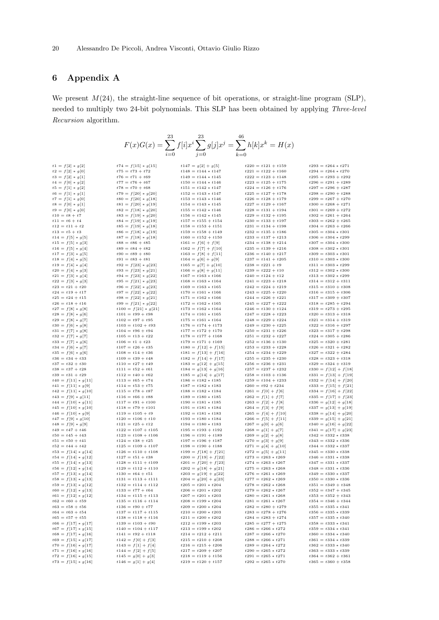# 6 Appendix A

We present  $M(24)$ , the straight-line sequence of bit operations, or straight-line program (SLP), needed to multiply two 24-bit polynomials. This SLP has been obtained by applying Three-level Recursion algorithm.

| 23<br>$F(x)G(x)=\sum f[i]x^i\sum g[j]x^j=\sum h[k]x^k=H(x)$ |                                                |                                                |                                              |                                                  |  |  |
|-------------------------------------------------------------|------------------------------------------------|------------------------------------------------|----------------------------------------------|--------------------------------------------------|--|--|
|                                                             |                                                |                                                |                                              |                                                  |  |  |
|                                                             |                                                |                                                |                                              |                                                  |  |  |
| $t1 = f[2] * g[2]$                                          | $t74 = f[15] * g[15]$                          | $t147 = g[2] + g[5]$                           | $t220 = t121 + t159$                         | $t293 = t264 * t271$                             |  |  |
| $t2 = f[2] * g[0]$                                          | $t75 = t73 + t72$                              | $t148 = t144 * t147$                           | $t221 = t122 + t160$                         | $t294 = t264 * t270$                             |  |  |
| $t3 = f[2] * g[1]$                                          | $t76 = t71 + t69$                              | $t149 = t144 * t145$                           | $t222 = t123 + t148$                         | $t295 = t293 + t292$                             |  |  |
| $t4 = f[0] * g[2]$                                          | $t77 = t76 + t67$                              | $t150 = t144 * t146$                           | $t223 = t125 + t175$                         | $t296 = t291 + t289$                             |  |  |
| $t5 = f[1] * g[2]$                                          | $t78 = t70 + t68$                              | $t151 = t142 * t147$                           | $t224 = t126 + t176$                         | $t297 = t296 + t287$                             |  |  |
| $t6 = f[1] * g[1]$                                          | $t79 = f[20] * g[20]$                          | $t152 = t143 * t147$                           | $t225 = t127 + t178$                         | $t298 = t290 + t288$                             |  |  |
| $t7 = f[1] * g[0]$                                          | $t80 = f[20] * g[18]$                          | $t153 = t143 * t146$                           | $t226 = t128 + t179$                         | $t299 = t267 + t270$                             |  |  |
| $t8 = f[0] * g[1]$                                          | $t81 = f[20] * g[19]$                          | $t154 = t143 * t145$                           | $t227 = t129 + t167$                         | $t300 = t268 + t271$                             |  |  |
| $t9 = f[0] * g[0]$<br>$t10 = t8 + t7$                       | $t82 = f[18] * g[20]$                          | $t155 = t142 * t146$<br>$t156 = t142 * t145$   | $t228 = t131 + t194$<br>$t229 = t132 + t195$ | $t301 = t269 + t272$<br>$t302 = t261 + t264$     |  |  |
| $t11 = t6 + t4$                                             | $t83 = f[19] * g[20]$<br>$t84 = f[19] * g[19]$ | $t157 = t155 + t154$                           | $t230 = t133 + t197$                         | $t303 = t262 + t265$                             |  |  |
| $t12 = t11 + t2$                                            | $t85 = f[19] * g[18]$                          | $t158 = t153 + t151$                           | $t231 = t134 + t198$                         | $t304 = t263 + t266$                             |  |  |
| $t13 = t5 + t3$                                             | $t86 = f[18] * g[19]$                          | $t159 = t158 + t149$                           | $t232 = t135 + t186$                         | $t305 = t304 * t301$                             |  |  |
| $t14 = f[5] * g[5]$                                         | $t87 = f[18] * g[18]$                          | $t160 = t152 + t150$                           | $t233 = t137 + t213$                         | $t306 = t304 * t299$                             |  |  |
| $t15 = f[5] * g[3]$                                         | $t88 = t86 + t85$                              | $t161 = f[6] + f[9]$                           | $t234 = t138 + t214$                         | $t307 = t304 * t300$                             |  |  |
| $t16 = f[5] * g[4]$                                         | $t89 = t84 + t82$                              | $t162 = f[7] + f[10]$                          | $t235 = t139 + t216$                         | $t308 = t302 * t301$                             |  |  |
| $t17 = f[3] * g[5]$                                         | $t90 = t89 + t80$                              | $t163 = f[8] + f[11]$                          | $t236 = t140 + t217$                         | $t309 = t303 * t301$                             |  |  |
| $t18 = f[4] * g[5]$                                         | $t91 = t83 + t81$                              | $t164 = g[6] + g[9]$                           | $t237 = t141 + t205$                         | $t310 = t303 * t300$                             |  |  |
| $t19 = f[4] * g[4]$<br>$t20 = f[4] * g[3]$                  | $t92 = f[23] * g[23]$<br>$t93 = f[23] * g[21]$ | $t165 = g[7] + g[10]$<br>$t166 = g[8] + g[11]$ | $t238 = t221 + t9$<br>$t239 = t222 + t10$    | $t311 = t303 * t299$<br>$t312 = t302 * t300$     |  |  |
| $t21 = f[3] * g[4]$                                         | $t94 = f[23] * g[22]$                          | $t167 = t163 * t166$                           | $t240 = t124 + t12$                          | $t313 = t302 * t299$                             |  |  |
| $t22 = f[3] * g[3]$                                         | $t95 = f[21] * g[23]$                          | $t168 = t163 * t164$                           | $t241 = t223 + t218$                         | $t314 = t312 + t311$                             |  |  |
| $t23 = t21 + t20$                                           | $t96 = f[22] * g[23]$                          | $t169 = t163 * t165$                           | $t242 = t224 + t219$                         | $t315 = t310 + t308$                             |  |  |
| $t24 = t19 + t17$                                           | $t97 = f[22] * g[22]$                          | $t170 = t161 * t166$                           | $t243 = t225 + t220$                         | $t316 = t315 + t306$                             |  |  |
| $t25 = t24 + t15$                                           | $t98 = f[22] * g[21]$                          | $t171 = t162 * t166$                           | $t244 = t226 + t221$                         | $t317 = t309 + t307$                             |  |  |
| $t26 = t18 + t16$                                           | $t99 = f[21] * g[22]$                          | $t172 = t162 * t165$                           | $t245 = t227 + t222$                         | $t318 = t285 + t294$                             |  |  |
| $t27 = f[8] * g[8]$                                         | $t100 = f[21] * g[21]$                         | $t173 = t162 * t164$                           | $t246 = t130 + t124$                         | $t319 = t273 + t295$                             |  |  |
| $t28 = f[8] * g[6]$                                         | $t101 = t99 + t98$                             | $t174 = t161 * t165$                           | $t247 = t228 + t223$                         | $t320 = t313 + t318$                             |  |  |
| $t29 = f[8] * g[7]$<br>$t30 = f[6] * g[8]$                  | $t102 = t97 + t95$<br>$t103 = t102 + t93$      | $t175 = t161 * t164$<br>$t176 = t174 + t173$   | $t248 = t229 + t224$<br>$t249 = t230 + t225$ | $t321 = t314 + t319$<br>$t322 = t316 + t297$     |  |  |
| $t31 = f[7] * g[8]$                                         | $t104 = t96 + t94$                             | $t177 = t172 + t170$                           | $t250 = t231 + t226$                         | $t323 = t317 + t298$                             |  |  |
| $t32 = f[7] * g[7]$                                         | $t105 = t13 + t22$                             | $t178 = t177 + t168$                           | $t251 = t232 + t227$                         | $t324 = t305 + t286$                             |  |  |
| $t33 = f[7] * g[6]$                                         | $t106 = t1 + t23$                              | $t179 = t171 + t169$                           | $t252 = t136 + t130$                         | $t325 = t320 + t281$                             |  |  |
| $t34 = f[6] * g[7]$                                         | $t107 = t26 + t35$                             | $t180 = f[12] + f[15]$                         | $t253 = t233 + t228$                         | $t326 = t321 + t282$                             |  |  |
| $t35 = f[6] * g[6]$                                         | $t108 = t14 + t36$                             | $t181 = f[13] + f[16]$                         | $t254 = t234 + t229$                         | $t327 = t322 + t284$                             |  |  |
| $t36 = t34 + t33$                                           | $t109 = t39 + t48$                             | $t182 = f[14] + f[17]$                         | $t255 = t235 + t230$                         | $t328 = t323 + t318$                             |  |  |
| $t37 = t32 + t30$                                           | $t110 = t27 + t49$                             | $t183 = g[12] + g[15]$                         | $t256 = t236 + t231$                         | $t329 = t324 + t319$                             |  |  |
| $t38 = t37 + t28$                                           | $t111 = t52 + t61$                             | $t184 = g[13] + g[16]$                         | $t257 = t237 + t232$                         | $t330 = f[12] + f[18]$                           |  |  |
| $t39 = t31 + t29$<br>$t40 = f[11] * g[11]$                  | $t112 = t40 + t62$<br>$t113 = t65 + t74$       | $t185 = g[14] + g[17]$<br>$t186 = t182 * t185$ | $t258 = t103 + t136$<br>$t259 = t104 + t233$ | $t331 = f[13] + f[19]$<br>$t332 = f[14] + f[20]$ |  |  |
| $t41 = f[11] * g[9]$                                        | $t114 = t53 + t75$                             | $t187 = t182 * t183$                           | $t260 = t92 + t234$                          | $t333 = f[15] + f[21]$                           |  |  |
| $t42 = f[11] * g[10]$                                       | $t115 = t78 + t87$                             | $t188 = t182 * t184$                           | $t261 = f[0] + f[6]$                         | $t334 = f[16] + f[22]$                           |  |  |
| $t43 = f[9] * g[11]$                                        | $t116 = t66 + t88$                             | $t189 = t180 * t185$                           | $t262 = f[1] + f[7]$                         | $t335 = f[17] + f[23]$                           |  |  |
| $t44 = f[10] * g[11]$                                       | $t117 = t91 + t100$                            | $t190 = t181 * t185$                           | $t263 = f[2] + f[8]$                         | $t336 = g[12] + g[18]$                           |  |  |
| $t45 = f[10] * g[10]$                                       | $t118 = t79 + t101$                            | $t191 = t181 * t184$                           | $t264 = f[3] + f[9]$                         | $t337 = g[13] + g[19]$                           |  |  |
| $t46 = f[10] * g[9]$                                        | $t119 = t105 + t9$                             | $t192 = t181 * t183$                           | $t265 = f[4] + f[10]$                        | $t338 = g[14] + g[20]$                           |  |  |
| $t47 = f[9] * g[10]$                                        | $t120 = t106 + t10$<br>$t121 = t25 + t12$      | $t193 = t180 * t184$                           | $t266 = f[5] + f[11]$                        | $t339 = g[15] + g[21]$                           |  |  |
| $t48 = f[9] * g[9]$<br>$t49 = t47 + t46$                    | $t122 = t107 + t105$                           | $t194 = t180 * t183$<br>$t195 = t193 + t192$   | $t267 = g[0] + g[6]$<br>$t268 = g[1] + g[7]$ | $t340 = g[16] + g[22]$<br>$t341 = g[17] + g[23]$ |  |  |
| $t50 = t45 + t43$                                           | $t123 = t108 + t106$                           | $t196 = t191 + t189$                           | $t269 = g[2] + g[8]$                         | $t342 = t332 * t338$                             |  |  |
| $t51 = t50 + t41$                                           | $t124 = t38 + t25$                             | $t197 = t196 + t187$                           | $t270 = g[3] + g[9]$                         | $t343 = t332 * t336$                             |  |  |
| $t52 = t44 + t42$                                           | $t125 = t109 + t107$                           | $t198 = t190 + t188$                           | $t271 = g[4] + g[10]$                        | $t344 = t332 * t337$                             |  |  |
| $t53 = f[14] * g[14]$                                       | $t126 = t110 + t108$                           | $t199 = f[18] + f[21]$                         | $t272 = g[5] + g[11]$                        | $t345 = t330 * t338$                             |  |  |
| $t54 = f[14] * g[12]$                                       | $t127 = t51 + t38$                             | $t200 = f[19] + f[22]$                         | $t273 = t263 * t269$                         | $t346 = t331 * t338$                             |  |  |
| $t55 = f[14] * g[13]$                                       | $t128 = t111 + t109$                           | $t201 = f[20] + f[23]$                         | $t274 = t263 * t267$                         | $t347 = t331 * t337$                             |  |  |
| $t56 = f[12] * g[14]$                                       | $t129 = t112 + t110$                           | $t202 = g[18] + g[21]$                         | $t275 = t263 * t268$                         | $t348 = t331 * t336$                             |  |  |
| $t57 = f[13] * g[14]$<br>$t58 = f[13] * g[13]$              | $t130 = t64 + t51$                             | $t203 = g[19] + g[22]$                         | $t276 = t261 * t269$<br>$t277 = t262 * t269$ | $t349 = t330 * t337$<br>$t350 = t330 * t336$     |  |  |
| $t59 = f[13] * g[12]$                                       | $t131 = t113 + t111$<br>$t132 = t114 + t112$   | $t204 = g[20] + g[23]$<br>$t205 = t201 * t204$ | $t278 = t262 * t268$                         | $t351 = t349 + t348$                             |  |  |
| $t60 = f[12] * g[13]$                                       | $t133 = t77 + t64$                             | $t206 = t201 * t202$                           | $t279 = t262 * t267$                         | $t352 = t347 + t345$                             |  |  |
| $t61 = f[12] * g[12]$                                       | $t134 = t115 + t113$                           | $t207 = t201 * t203$                           | $t280 = t261 * t268$                         | $t353 = t352 + t343$                             |  |  |
| $t62 = t60 + t59$                                           | $t135 = t116 + t114$                           | $t208 = t199 * t204$                           | $t281 = t261 * t267$                         | $t354 = t346 + t344$                             |  |  |
| $t63 = t58 + t56$                                           | $t136 = t90 + t77$                             | $t209 = t200 * t204$                           | $t282 = t280 + t279$                         | $t355 = t335 * t341$                             |  |  |
| $t64 = t63 + t54$                                           | $t137 = t117 + t115$                           | $t210 = t200 * t203$                           | $t283 = t278 + t276$                         | $t356 = t335 * t339$                             |  |  |
| $t65 = t57 + t55$                                           | $t138 = t118 + t116$                           | $t211 = t200 * t202$                           | $t284 = t283 + t274$                         | $t357 = t335 * t340$                             |  |  |
| $t66 = f[17] * g[17]$                                       | $t139 = t103 + t90$                            | $t212 = t199 * t203$                           | $t285 = t277 + t275$                         | $t358 = t333 * t341$                             |  |  |
| $t67 = f[17] * g[15]$<br>$t68 = f[17] * g[16]$              | $t140 = t104 + t117$<br>$t141 = t92 + t118$    | $t213 = t199 * t202$                           | $t286 = t266 * t272$                         | $t359 = t334 * t341$<br>$t360 = t334 * t340$     |  |  |
| $t69 = f[15] * g[17]$                                       | $t142 = f[0] + f[3]$                           | $t214 = t212 + t211$<br>$t215 = t210 + t208$   | $t287 = t266 * t270$<br>$t288 = t266 * t271$ | $t361 = t334 * t339$                             |  |  |
| $t70 = f[16] * g[17]$                                       | $t143 = f[1] + f[4]$                           | $t216 = t215 + t206$                           | $t289 = t264 * t272$                         | $t362 = t333 * t340$                             |  |  |
| $t71 = f[16] * g[16]$                                       | $t144 = f[2] + f[5]$                           | $t217 = t209 + t207$                           | $t290 = t265 * t272$                         | $t363 = t333 * t339$                             |  |  |
| $t72 = f[16] * g[15]$                                       | $t145 = g[0] + g[3]$                           | $t218 = t119 + t156$                           | $t291 = t265 * t271$                         | $t364 = t362 + t361$                             |  |  |
| $t73 = f[15] * g[16]$                                       | $t146 = g[1] + g[4]$                           | $t219 = t120 + t157$                           | $t292 = t265 * t270$                         | $t365 = t360 + t358$                             |  |  |